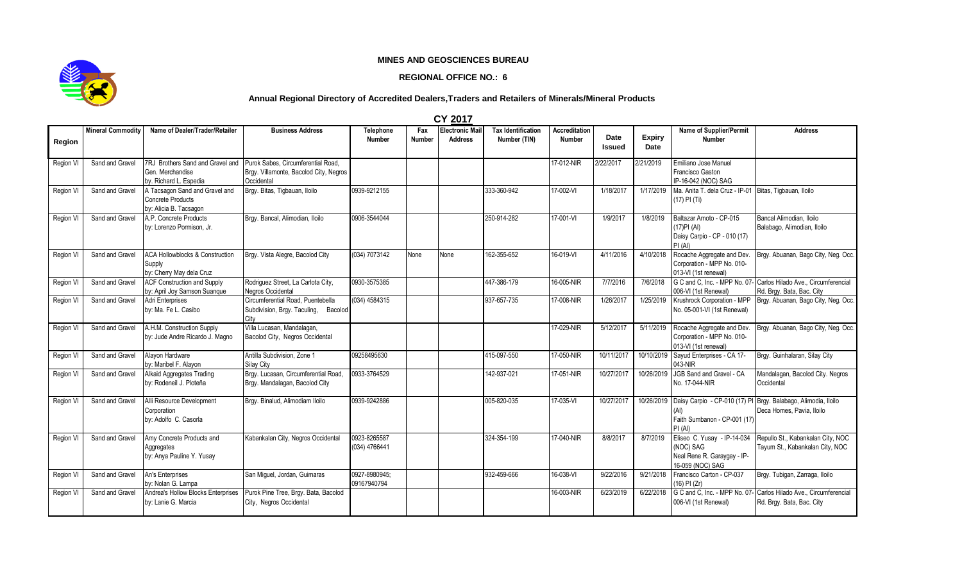## **MINES AND GEOSCIENCES BUREAU**

## **REGIONAL OFFICE NO.: 6**



## **Annual Regional Directory of Accredited Dealers,Traders and Retailers of Minerals/Mineral Products**

|           |                          |                                                                                                                   |                                                                                   |                               |                      | U I LUI <i>i</i>                         |                                           |                                       |                |                       |                                                                                             |                                                                                             |
|-----------|--------------------------|-------------------------------------------------------------------------------------------------------------------|-----------------------------------------------------------------------------------|-------------------------------|----------------------|------------------------------------------|-------------------------------------------|---------------------------------------|----------------|-----------------------|---------------------------------------------------------------------------------------------|---------------------------------------------------------------------------------------------|
| Region    | <b>Mineral Commodity</b> | Name of Dealer/Trader/Retailer                                                                                    | <b>Business Address</b>                                                           | Telephone<br><b>Number</b>    | Fax<br><b>Number</b> | <b>Electronic Mail</b><br><b>Address</b> | <b>Tax Identification</b><br>Number (TIN) | <b>Accreditation</b><br><b>Number</b> | Date<br>Issued | <b>Expiry</b><br>Date | Name of Supplier/Permit<br><b>Number</b>                                                    | <b>Address</b>                                                                              |
| Region VI | Sand and Gravel          | 7RJ Brothers Sand and Gravel and Purok Sabes, Circumferential Road,<br>Gen. Merchandise<br>by. Richard L. Espedia | Brgy. Villamonte, Bacolod City, Negros<br>Occidental                              |                               |                      |                                          |                                           | 17-012-NIR                            | 2/22/2017      | 2/21/2019             | Emiliano Jose Manuel<br>Francisco Gaston<br>IP-16-042 (NOC) SAG                             |                                                                                             |
| Region VI | Sand and Gravel          | A Tacsagon Sand and Gravel and<br><b>Concrete Products</b><br>by: Alicia B. Tacsagon                              | Brgy. Bitas, Tigbauan, Iloilo                                                     | 0939-9212155                  |                      |                                          | 333-360-942                               | 17-002-VI                             | 1/18/2017      | 1/17/2019             | Ma. Anita T. dela Cruz - IP-01 Bitas, Tigbauan, Iloilo<br>(17) PI (Ti)                      |                                                                                             |
| Region VI | Sand and Gravel          | A.P. Concrete Products<br>by: Lorenzo Pormison. Jr.                                                               | Brgy. Bancal, Alimodian, Iloilo                                                   | 0906-3544044                  |                      |                                          | 250-914-282                               | 17-001-VI                             | 1/9/2017       | 1/8/2019              | Baltazar Amoto - CP-015<br>$(17)$ PI $(AI)$<br>Daisy Carpio - CP - 010 (17)<br>PI(AI)       | Bancal Alimodian, Iloilo<br>Balabago, Alimodian, Iloilo                                     |
| Region VI | Sand and Gravel          | <b>ACA Hollowblocks &amp; Construction</b><br>Supply<br>by: Cherry May dela Cruz                                  | Brgy. Vista Alegre, Bacolod City                                                  | (034) 7073142                 | None                 | None                                     | 162-355-652                               | 16-019-VI                             | 4/11/2016      | 4/10/2018             | Rocache Aggregate and Dev.<br>Corporation - MPP No. 010-<br>013-VI (1st renewal)            | Brgy. Abuanan, Bago City, Neg. Occ.                                                         |
| Region VI | Sand and Gravel          | <b>ACF Construction and Supply</b><br>by: April Joy Samson Suanque                                                | Rodriguez Street, La Carlota City,<br>Negros Occidental                           | 0930-3575385                  |                      |                                          | 447-386-179                               | 16-005-NIR                            | 7/7/2016       | 7/6/2018              | G C and C, Inc. - MPP No. 07-<br>006-VI (1st Renewal)                                       | Carlos Hilado Ave., Circumferencial<br>Rd. Brgy. Bata, Bac. City                            |
| Region VI | Sand and Gravel          | Adri Enterprises<br>by: Ma. Fe L. Casibo                                                                          | Circumferential Road, Puentebella<br>Subdivision, Brgy. Taculing, Bacolod<br>City | (034) 4584315                 |                      |                                          | 937-657-735                               | 17-008-NIR                            | 1/26/2017      | 1/25/2019             | Krushrock Corporation - MPP<br>No. 05-001-VI (1st Renewal)                                  | Brgy. Abuanan, Bago City, Neg. Occ.                                                         |
| Region VI | Sand and Gravel          | A.H.M. Construction Supply<br>by: Jude Andre Ricardo J. Magno                                                     | Villa Lucasan, Mandalagan,<br>Bacolod City, Negros Occidental                     |                               |                      |                                          |                                           | 17-029-NIR                            | 5/12/2017      | 5/11/2019             | Rocache Aggregate and Dev.<br>Corporation - MPP No. 010-<br>013-VI (1st renewal)            | Brgy. Abuanan, Bago City, Neg. Occ.                                                         |
| Region VI | Sand and Gravel          | Alavon Hardware<br>by: Maribel F. Alayon                                                                          | Antilla Subdivision. Zone 1<br><b>Silay City</b>                                  | 09258495630                   |                      |                                          | 415-097-550                               | 17-050-NIR                            | 10/11/2017     | 10/10/2019            | Sayud Enterprises - CA 17-<br>043-NIR                                                       | Brgy. Guinhalaran, Silay City                                                               |
| Region VI | Sand and Gravel          | Alkaid Aggregates Trading<br>by: Rodeneil J. Ploteña                                                              | Brgy. Lucasan, Circumferential Road,<br>Brgy. Mandalagan, Bacolod City            | 0933-3764529                  |                      |                                          | 142-937-021                               | 17-051-NIR                            | 10/27/2017     | 10/26/2019            | JGB Sand and Gravel - CA<br>No. 17-044-NIR                                                  | Mandalagan, Bacolod City. Negros<br>Occidental                                              |
| Region VI | Sand and Gravel          | Alli Resource Development<br>Corporation<br>by: Adolfo C. Casorla                                                 | Brgy. Binalud, Alimodiam Iloilo                                                   | 0939-9242886                  |                      |                                          | 005-820-035                               | 17-035-VI                             | 10/27/2017     | 10/26/2019            | Faith Sumbanon - CP-001 (17)<br>PI(AI)                                                      | Daisy Carpio - CP-010 (17) PI Brgy. Balabago, Alimodia, Iloilo<br>Deca Homes, Pavia, Iloilo |
| Region VI | Sand and Gravel          | Amy Concrete Products and<br>Aggregates<br>by: Anya Pauline Y. Yusay                                              | Kabankalan City, Negros Occidental                                                | 0923-8265587<br>(034) 4766441 |                      |                                          | 324-354-199                               | 17-040-NIR                            | 8/8/2017       | 8/7/2019              | Eliseo C. Yusay - IP-14-034<br>(NOC) SAG<br>Neal Rene R. Garaygay - IP-<br>16-059 (NOC) SAG | Repullo St., Kabankalan City, NOC<br>Tayum St., Kabankalan City, NOC                        |
| Region VI | Sand and Gravel          | An's Enterprises<br>by: Nolan G. Lampa                                                                            | San Miquel, Jordan, Guimaras                                                      | 0927-8980945;<br>09167940794  |                      |                                          | 932-459-666                               | 16-038-VI                             | 9/22/2016      | 9/21/2018             | Francisco Carton - CP-037<br>(16) PI (Zr)                                                   | Brgy. Tubigan, Zarraga, Iloilo                                                              |
| Region VI | Sand and Gravel          | Andrea's Hollow Blocks Enterprises<br>by: Lanie G. Marcia                                                         | Purok Pine Tree, Brgy. Bata, Bacolod<br>City, Negros Occidental                   |                               |                      |                                          |                                           | 16-003-NIR                            | 6/23/2019      | 6/22/2018             | G C and C, Inc. - MPP No. 07-<br>006-VI (1st Renewal)                                       | Carlos Hilado Ave., Circumferencial<br>Rd. Brgy. Bata, Bac. City                            |

**CY 2017**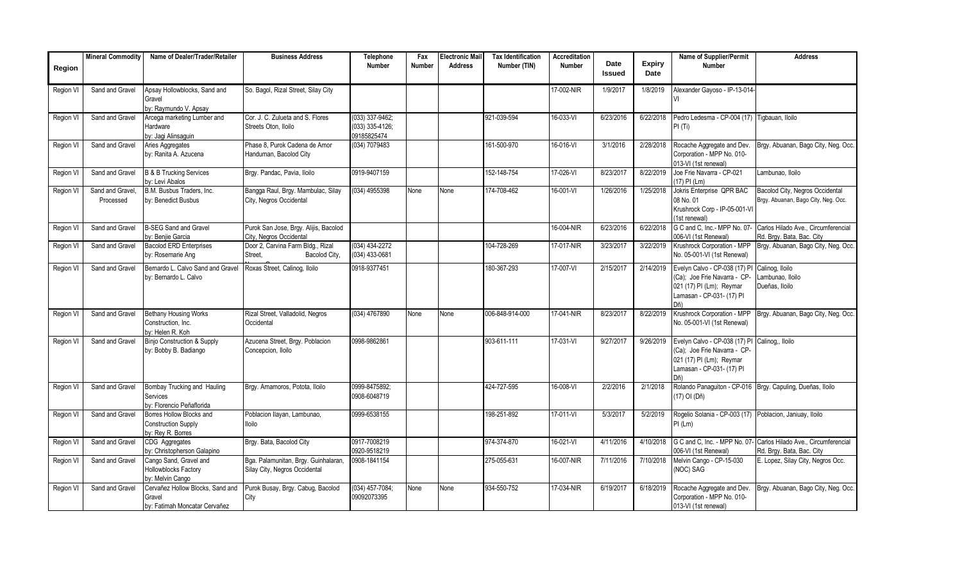|                  | <b>Mineral Commodity</b>     | Name of Dealer/Trader/Retailer                                              | <b>Business Address</b>                                               | Telephone                                           | Fax           | <b>Electronic Mail</b> | <b>Tax Identification</b> | <b>Accreditation</b> |                       |                       | <b>Name of Supplier/Permit</b>                                                                                                | <b>Address</b>                                                         |
|------------------|------------------------------|-----------------------------------------------------------------------------|-----------------------------------------------------------------------|-----------------------------------------------------|---------------|------------------------|---------------------------|----------------------|-----------------------|-----------------------|-------------------------------------------------------------------------------------------------------------------------------|------------------------------------------------------------------------|
| Region           |                              |                                                                             |                                                                       | <b>Number</b>                                       | <b>Number</b> | <b>Address</b>         | Number (TIN)              | <b>Number</b>        | Date<br><b>Issued</b> | <b>Expiry</b><br>Date | <b>Number</b>                                                                                                                 |                                                                        |
| Region V         | Sand and Gravel              | Apsay Hollowblocks, Sand and<br>Gravel<br>by: Raymundo V. Apsay             | So. Bagol, Rizal Street, Silay City                                   |                                                     |               |                        |                           | 17-002-NIR           | 1/9/2017              | 1/8/2019              | Alexander Gayoso - IP-13-014<br>VI                                                                                            |                                                                        |
| Region VI        | Sand and Gravel              | Arcega marketing Lumber and<br>Hardware<br>by: Jagi Alinsaguin              | Cor. J. C. Zulueta and S. Flores<br>Streets Oton, Iloilo              | $(033)$ 337-9462;<br>(033) 335-4126;<br>09185825474 |               |                        | 921-039-594               | 16-033-VI            | 6/23/2016             | 6/22/2018             | Pedro Ledesma - CP-004 (17) Tigbauan, Iloilo<br>PI(Ti)                                                                        |                                                                        |
| Region VI        | Sand and Gravel              | Aries Aggregates<br>by: Ranita A. Azucena                                   | Phase 8, Purok Cadena de Amor<br>Handuman, Bacolod City               | (034) 7079483                                       |               |                        | 161-500-970               | 16-016-VI            | 3/1/2016              | 2/28/2018             | Rocache Aggregate and Dev.<br>Corporation - MPP No. 010-<br>013-VI (1st renewal)                                              | Brgy. Abuanan, Bago City, Neg. Occ.                                    |
| Region VI        | Sand and Gravel              | <b>B &amp; B Trucking Services</b><br>by: Levi Abalos                       | Brgy. Pandac, Pavia, Iloilo                                           | 0919-9407159                                        |               |                        | 152-148-754               | 17-026-VI            | 8/23/2017             | 8/22/2019             | Joe Frie Navarra - CP-021<br>$(17)$ PI $(Lm)$                                                                                 | Lambunao, Iloilo                                                       |
| Region VI        | Sand and Gravel<br>Processed | B.M. Busbus Traders. Inc.<br>by: Benedict Busbus                            | Bangga Raul, Brgy. Mambulac, Silay<br>City, Negros Occidental         | (034) 4955398                                       | None          | None                   | 174-708-462               | 16-001-VI            | 1/26/2016             | 1/25/2018             | Jokris Enterprise QPR BAC<br>08 No. 01<br>Krushrock Corp - IP-05-001-VI<br>(1st renewal)                                      | Bacolod City, Negros Occidental<br>Brgy. Abuanan, Bago City, Neg. Occ. |
| Region V         | Sand and Gravel              | <b>B-SEG Sand and Gravel</b><br>by: Beniie Garcia                           | Purok San Jose, Brgy. Alijis, Bacolod<br>City, Negros Occidental      |                                                     |               |                        |                           | 16-004-NIR           | 6/23/2016             | 6/22/2018             | G C and C, Inc.- MPP No. 07<br>006-VI (1st Renewal)                                                                           | Carlos Hilado Ave., Circumferencial<br>Rd. Brgy. Bata, Bac. City       |
| Region VI        | Sand and Gravel              | <b>Bacolod ERD Enterprises</b><br>by: Rosemarie Ang                         | Door 2, Carvina Farm Bldg., Rizal<br>Bacolod City.<br>Street.         | $(034)$ 434-2272<br>(034) 433-0681                  |               |                        | 104-728-269               | 17-017-NIR           | 3/23/2017             | 3/22/2019             | Krushrock Corporation - MPP<br>No. 05-001-VI (1st Renewal)                                                                    | Brgy. Abuanan, Bago City, Neg. Occ.                                    |
| Region V         | Sand and Gravel              | Bernardo L. Calvo Sand and Gravel<br>by: Bernardo L. Calvo                  | Roxas Street, Calinog, Iloilo                                         | 0918-9377451                                        |               |                        | 180-367-293               | 17-007-VI            | 2/15/2017             | 2/14/2019             | Evelyn Calvo - CP-038 (17) PI<br>(Ca); Joe Frie Navarra - CP-<br>021 (17) PI (Lm); Reymar<br>Lamasan - CP-031- (17) PI<br>Dñ) | Calinog, Iloilo<br>ambunao, Iloilo<br>Dueñas. Iloilo                   |
| Region VI        | Sand and Gravel              | <b>Bethany Housing Works</b><br>Construction, Inc.<br>by: Helen R. Koh      | Rizal Street, Valladolid, Negros<br>Occidental                        | $(034)$ 4767890                                     | None          | None                   | 006-848-914-000           | 17-041-NIR           | 8/23/2017             | 8/22/2019             | Krushrock Corporation - MPP<br>No. 05-001-VI (1st Renewal)                                                                    | Brgy. Abuanan, Bago City, Neg. Occ.                                    |
| Region VI        | Sand and Gravel              | <b>Binjo Construction &amp; Supply</b><br>by: Bobby B. Badiango             | Azucena Street, Brgy. Poblacion<br>Concepcion, Iloilo                 | 0998-9862861                                        |               |                        | 903-611-111               | 17-031-VI            | 9/27/2017             | 9/26/2019             | Evelyn Calvo - CP-038 (17) PI<br>(Ca); Joe Frie Navarra - CP-<br>021 (17) PI (Lm); Reymar<br>Lamasan - CP-031- (17) PI        | Calinog., Iloilo                                                       |
| <b>Region VI</b> | Sand and Gravel              | Bombay Trucking and Hauling<br>Services<br>by: Florencio Peñaflorida        | Brgy. Amamoros, Potota, Iloilo                                        | 0999-8475892:<br>0908-6048719                       |               |                        | 424-727-595               | 16-008-VI            | 2/2/2016              | 2/1/2018              | Rolando Panaguiton - CP-016 Brgy. Capuling, Dueñas, Iloilo<br>(17) OI (Dñ)                                                    |                                                                        |
| Region VI        | Sand and Gravel              | Borres Hollow Blocks and<br><b>Construction Supply</b><br>by: Rev R. Borres | Poblacion Ilayan, Lambunao,<br>loilo                                  | 0999-6538155                                        |               |                        | 198-251-892               | 17-011-VI            | 5/3/2017              | 5/2/2019              | Rogelio Solania - CP-003 (17) Poblacion, Janiuay, Iloilo<br>$PI$ (Lm)                                                         |                                                                        |
| Region V         | Sand and Gravel              | CDG Aggregates<br>by: Christopherson Galapino                               | Brgy. Bata, Bacolod City                                              | 0917-7008219<br>0920-9518219                        |               |                        | 974-374-870               | 16-021-VI            | 4/11/2016             | 4/10/2018             | G C and C. Inc. - MPP No. 07-<br>006-VI (1st Renewal)                                                                         | Carlos Hilado Ave., Circumferencial<br>Rd. Brgy. Bata, Bac. City       |
| Region V         | Sand and Gravel              | Cango Sand, Gravel and<br>Hollowblocks Factory<br>by: Melvin Cango          | Bga. Palamunitan, Brgy. Guinhalaran,<br>Silay City, Negros Occidental | 0908-1841154                                        |               |                        | 275-055-631               | 16-007-NIR           | 7/11/2016             | 7/10/2018             | Melvin Cango - CP-15-030<br>(NOC) SAG                                                                                         | E. Lopez, Silay City, Negros Occ.                                      |
| Region VI        | Sand and Gravel              | Cervañez Hollow Blocks, Sand and<br>Gravel<br>by: Fatimah Moncatar Cervañez | Purok Busay, Brgy. Cabug, Bacolod<br>City                             | $(034)$ 457-7084;<br>09092073395                    | None          | None                   | 934-550-752               | 17-034-NIR           | 6/19/2017             | 6/18/2019             | Rocache Aggregate and Dev.<br>Corporation - MPP No. 010-<br>013-VI (1st renewal)                                              | Brgy. Abuanan, Bago City, Neg. Occ.                                    |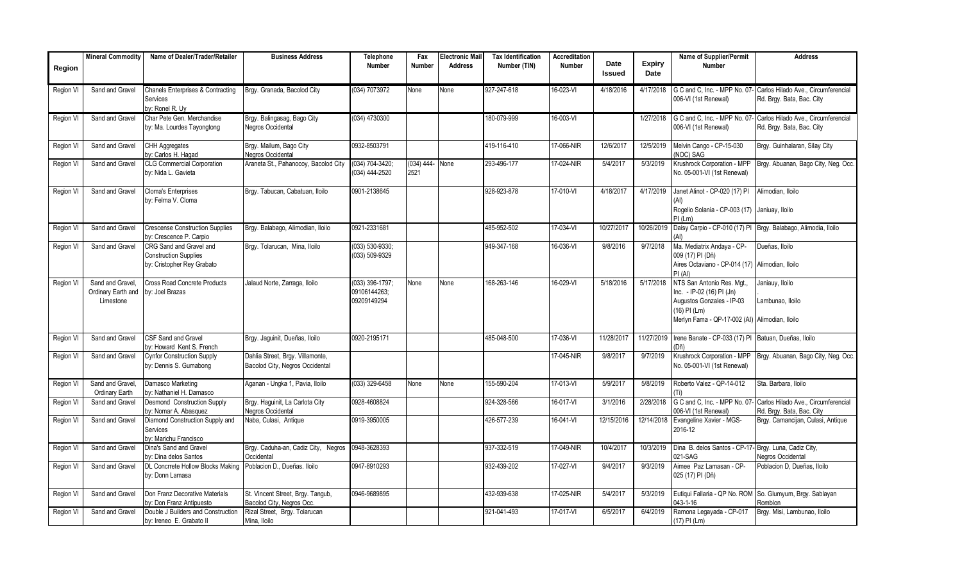|           | <b>Mineral Commodity</b> | Name of Dealer/Trader/Retailer                                    | <b>Business Address</b>              | <b>Telephone</b>    | Fax             | <b>Electronic Mail</b> | <b>Tax Identification</b> | <b>Accreditation</b> |               |               | Name of Supplier/Permit                              | <b>Address</b>                                                 |
|-----------|--------------------------|-------------------------------------------------------------------|--------------------------------------|---------------------|-----------------|------------------------|---------------------------|----------------------|---------------|---------------|------------------------------------------------------|----------------------------------------------------------------|
| Region    |                          |                                                                   |                                      | Number              | Number          | <b>Address</b>         | Number (TIN)              | Number               | Date          | <b>Expiry</b> | Number                                               |                                                                |
|           |                          |                                                                   |                                      |                     |                 |                        |                           |                      | <b>Issued</b> | Date          |                                                      |                                                                |
| Region VI | Sand and Gravel          | <b>Chanels Enterprises &amp; Contracting</b>                      | Brgy. Granada, Bacolod City          | (034) 7073972       | None            | None                   | 927-247-618               | 16-023-VI            | 4/18/2016     | 4/17/2018     | G C and C. Inc. - MPP No. 07-                        | Carlos Hilado Ave., Circumferencial                            |
|           |                          | Services                                                          |                                      |                     |                 |                        |                           |                      |               |               | 006-VI (1st Renewal)                                 | Rd. Brgy. Bata, Bac. City                                      |
|           |                          | by: Ronel R. Uy                                                   |                                      |                     |                 |                        |                           |                      |               |               |                                                      |                                                                |
| Region V  | Sand and Gravel          | Char Pete Gen, Merchandise                                        | Brgy. Balingasag, Bago City          | (034) 4730300       |                 |                        | 180-079-999               | 16-003-VI            |               | 1/27/2018     | G C and C. Inc. - MPP No. 07-                        | Carlos Hilado Ave., Circumferencial                            |
|           |                          | by: Ma. Lourdes Tayongtong                                        | <b>Vegros Occidental</b>             |                     |                 |                        |                           |                      |               |               | 006-VI (1st Renewal)                                 | Rd. Brgy. Bata, Bac. City                                      |
|           |                          |                                                                   |                                      |                     |                 |                        |                           |                      |               |               |                                                      |                                                                |
| Region VI | Sand and Gravel          | <b>CHH Aggregates</b>                                             | Brgy. Mailum, Bago City              | 0932-8503791        |                 |                        | 419-116-410               | 17-066-NIR           | 12/6/2017     | 12/5/2019     | Melvin Cango - CP-15-030                             | Brgy. Guinhalaran, Silay City                                  |
|           |                          | by: Carlos H. Hagad                                               | Negros Occidental                    |                     |                 |                        |                           |                      |               |               | (NOC) SAG                                            |                                                                |
| Region V  | Sand and Gravel          | <b>CLG Commercial Corporation</b>                                 | Araneta St., Pahanocoy, Bacolod City | (034) 704-3420;     | (034) 444- None |                        | 293-496-177               | 17-024-NIR           | 5/4/2017      | 5/3/2019      | Krushrock Corporation - MPP                          | Brgy. Abuanan, Bago City, Neg. Occ.                            |
|           |                          | by: Nida L. Gavieta                                               |                                      | (034) 444-2520      | 2521            |                        |                           |                      |               |               | No. 05-001-VI (1st Renewal)                          |                                                                |
|           |                          |                                                                   |                                      |                     |                 |                        |                           |                      |               |               |                                                      |                                                                |
| Region VI | Sand and Gravel          | <b>Cloma's Enterprises</b>                                        | Brgy. Tabucan, Cabatuan, Iloilo      | 0901-2138645        |                 |                        | 928-923-878               | 17-010-VI            | 4/18/2017     | 4/17/2019     | Janet Alinot - CP-020 (17) PI                        | Alimodian, Iloilo                                              |
|           |                          | by: Felma V. Cloma                                                |                                      |                     |                 |                        |                           |                      |               |               |                                                      |                                                                |
|           |                          |                                                                   |                                      |                     |                 |                        |                           |                      |               |               | Rogelio Solania - CP-003 (17) Janiuay, Iloilo        |                                                                |
|           | Sand and Gravel          |                                                                   | Brgy. Balabago, Alimodian, Iloilo    | 0921-2331681        |                 |                        | 485-952-502               | 17-034-VI            | 10/27/2017    | 10/26/2019    | $PI$ (Lm)                                            | Daisy Carpio - CP-010 (17) PI Brgy. Balabago, Alimodia, Iloilo |
| Region VI |                          | <b>Crescense Construction Supplies</b><br>by: Crescence P. Carpio |                                      |                     |                 |                        |                           |                      |               |               | (Al)                                                 |                                                                |
| Region VI | Sand and Gravel          | CRG Sand and Gravel and                                           | Brgy. Tolarucan, Mina, Iloilo        | $(033) 530 - 9330;$ |                 |                        | 949-347-168               | 16-036-VI            | 9/8/2016      | 9/7/2018      | Ma. Mediatrix Andaya - CP-                           | Dueñas, Iloilo                                                 |
|           |                          | <b>Construction Supplies</b>                                      |                                      | (033) 509-9329      |                 |                        |                           |                      |               |               | 009 (17) PI (Dñ)                                     |                                                                |
|           |                          | by: Cristopher Rey Grabato                                        |                                      |                     |                 |                        |                           |                      |               |               | Aires Octaviano - CP-014 (17) Alimodian, Iloilo      |                                                                |
|           |                          |                                                                   |                                      |                     |                 |                        |                           |                      |               |               | PI(AI)                                               |                                                                |
| Region VI | Sand and Gravel.         | Cross Road Concrete Products                                      | Jalaud Norte, Zarraga, Iloilo        | (033) 396-1797;     | None            | None                   | 168-263-146               | 16-029-VI            | 5/18/2016     | 5/17/2018     | NTS San Antonio Res. Mgt.                            | Janiauy, Iloilo                                                |
|           | Ordinary Earth and       | by: Joel Brazas                                                   |                                      | 09106144263;        |                 |                        |                           |                      |               |               | Inc. - IP-02 (16) PI (Jn)                            |                                                                |
|           | Limestone                |                                                                   |                                      | 09209149294         |                 |                        |                           |                      |               |               | Augustos Gonzales - IP-03                            | Lambunao, Iloilo                                               |
|           |                          |                                                                   |                                      |                     |                 |                        |                           |                      |               |               | (16) PI (Lm)                                         |                                                                |
|           |                          |                                                                   |                                      |                     |                 |                        |                           |                      |               |               | Merlyn Fama - QP-17-002 (AI) Alimodian, Iloilo       |                                                                |
|           |                          |                                                                   |                                      |                     |                 |                        |                           |                      |               |               |                                                      |                                                                |
| Region VI | Sand and Gravel          | <b>CSF Sand and Gravel</b>                                        | Brgy. Jaguinit, Dueñas, Iloilo       | 0920-2195171        |                 |                        | 485-048-500               | 17-036-VI            | 11/28/2017    | 11/27/2019    | Irene Banate - CP-033 (17) PI Batuan, Dueñas, Iloilo |                                                                |
|           | Sand and Gravel          | by: Howard Kent S. French<br><b>Cynfor Construction Supply</b>    | Dahlia Street, Brgy. Villamonte,     |                     |                 |                        |                           | 17-045-NIR           | 9/8/2017      | 9/7/2019      | (Dñ)<br>Krushrock Corporation - MPP                  | Brgy. Abuanan, Bago City, Neg. Occ.                            |
| Region VI |                          | by: Dennis S. Gumabong                                            | Bacolod City, Negros Occidental      |                     |                 |                        |                           |                      |               |               | No. 05-001-VI (1st Renewal)                          |                                                                |
|           |                          |                                                                   |                                      |                     |                 |                        |                           |                      |               |               |                                                      |                                                                |
| Region VI | Sand and Gravel.         | Damasco Marketing                                                 | Aganan - Ungka 1, Pavia, Iloilo      | $(033)$ 329-6458    | None            | None                   | 155-590-204               | 17-013-VI            | 5/9/2017      | 5/8/2019      | Roberto Valez - QP-14-012                            | Sta, Barbara, Iloilo                                           |
|           | Ordinary Earth           | by: Nathaniel H. Damasco                                          |                                      |                     |                 |                        |                           |                      |               |               |                                                      |                                                                |
| Region V  | Sand and Gravel          | <b>Desmond Construction Supply</b>                                | Brgy. Haguinit, La Carlota City      | 0928-4608824        |                 |                        | 924-328-566               | 16-017-VI            | 3/1/2016      | 2/28/2018     | G C and C, Inc. - MPP No. 07-                        | Carlos Hilado Ave., Circumferencial                            |
|           |                          | by: Nomar A. Abasquez                                             | Negros Occidental                    |                     |                 |                        |                           |                      |               |               | 006-VI (1st Renewal)                                 | Rd. Brgy. Bata, Bac. City                                      |
| Region VI | Sand and Gravel          | Diamond Construction Supply and                                   | Naba, Culasi, Antique                | 0919-3950005        |                 |                        | 426-577-239               | 16-041-VI            | 12/15/2016    | 12/14/2018    | Evangeline Xavier - MGS-                             | Brgy. Camancijan, Culasi, Antigue                              |
|           |                          | Services                                                          |                                      |                     |                 |                        |                           |                      |               |               | 2016-12                                              |                                                                |
|           |                          | by: Marichu Francisco                                             |                                      |                     |                 |                        |                           |                      |               |               |                                                      |                                                                |
| Region VI | Sand and Gravel          | Dina's Sand and Gravel                                            | Brgy. Caduha-an, Cadiz City, Negros  | 0948-3628393        |                 |                        | 937-332-519               | 17-049-NIR           | 10/4/2017     | 10/3/2019     | Dina B. delos Santos - CP-17-                        | Brgy. Luna, Cadiz City,                                        |
|           |                          | by: Dina delos Santos                                             | Occidental                           |                     |                 |                        |                           |                      |               |               | 021-SAG                                              | <b>Negros Occidental</b>                                       |
| Region VI | Sand and Gravel          | DL Concrrete Hollow Blocks Making                                 | Poblacion D., Dueñas, Iloilo         | 0947-8910293        |                 |                        | 932-439-202               | $17 - 027 - V1$      | 9/4/2017      | 9/3/2019      | Aimee Paz Lamasan - CP-                              | Poblacion D, Dueñas, Iloilo                                    |
|           |                          | by: Donn Lamasa                                                   |                                      |                     |                 |                        |                           |                      |               |               | 025 (17) PI (Dñ)                                     |                                                                |
| Region VI | Sand and Gravel          | Don Franz Decorative Materials                                    | St. Vincent Street, Brgy. Tangub,    | 0946-9689895        |                 |                        | 432-939-638               | 17-025-NIR           | 5/4/2017      | 5/3/2019      |                                                      | Eutiqui Fallaria - QP No. ROM So. Glumyum, Brgy. Sablayan      |
|           |                          | by: Don Franz Antipuesto                                          | Bacolod City, Negros Occ.            |                     |                 |                        |                           |                      |               |               | 043-1-16                                             | Romblon                                                        |
| Region VI | Sand and Gravel          | Double J Builders and Construction                                | Rizal Street, Brgy. Tolarucan        |                     |                 |                        | 921-041-493               | 17-017-VI            | 6/5/2017      | 6/4/2019      | Ramona Legayada - CP-017                             | Brgy. Misi, Lambunao, Iloilo                                   |
|           |                          | by: Ireneo E. Grabato II                                          | Mina, Iloilo                         |                     |                 |                        |                           |                      |               |               | (17) PI (Lm)                                         |                                                                |
|           |                          |                                                                   |                                      |                     |                 |                        |                           |                      |               |               |                                                      |                                                                |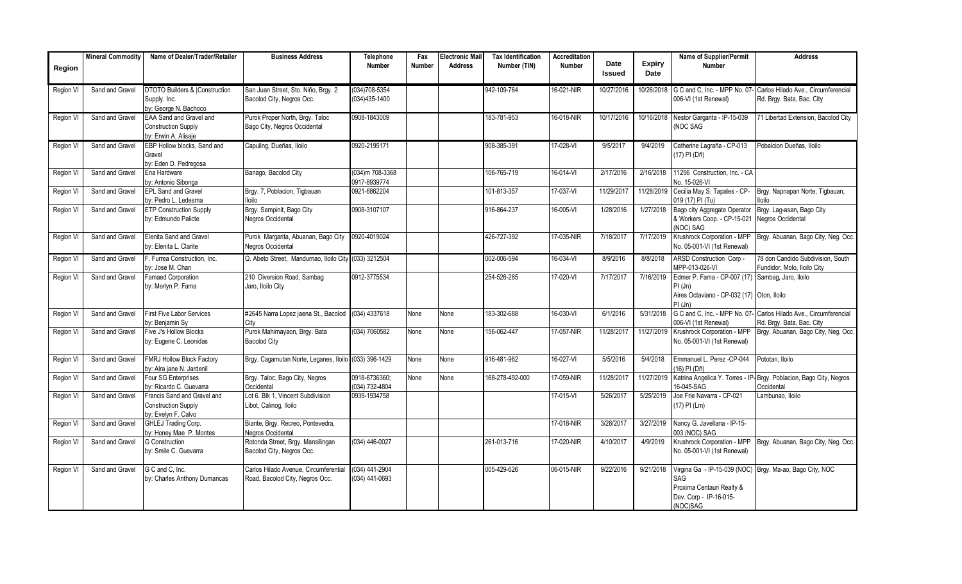|           | <b>Mineral Commodity</b> | Name of Dealer/Trader/Retailer                                                    | <b>Business Address</b>                                                  | <b>Telephone</b>                       | Fax           | Electronic Mail | <b>Tax Identification</b> | <b>Accreditation</b> |                |                       | Name of Supplier/Permit                                                                                | <b>Address</b>                                                                                 |
|-----------|--------------------------|-----------------------------------------------------------------------------------|--------------------------------------------------------------------------|----------------------------------------|---------------|-----------------|---------------------------|----------------------|----------------|-----------------------|--------------------------------------------------------------------------------------------------------|------------------------------------------------------------------------------------------------|
| Region    |                          |                                                                                   |                                                                          | <b>Number</b>                          | <b>Number</b> | <b>Address</b>  | Number (TIN)              | <b>Number</b>        | Date<br>Issued | <b>Expiry</b><br>Date | <b>Number</b>                                                                                          |                                                                                                |
| Region VI | Sand and Gravel          | <b>DTOTO Builders &amp; Construction</b><br>Supply. Inc.<br>by: George N. Bachoco | San Juan Street, Sto. Niño, Brgy. 2<br>Bacolod City, Negros Occ.         | $(034)708 - 5354$<br>$(034)435 - 1400$ |               |                 | 942-109-764               | 16-021-NIR           | 10/27/2016     | 10/26/2018            | G C and C, Inc. - MPP No. 07-<br>006-VI (1st Renewal)                                                  | Carlos Hilado Ave., Circumferencial<br>Rd. Brgy. Bata, Bac. City                               |
| Region VI | Sand and Gravel          | EAA Sand and Gravel and<br><b>Construction Supply</b><br>by: Erwin A. Alisaje     | Purok Proper North, Brgy. Taloc<br>Bago City, Negros Occidental          | 0908-1843009                           |               |                 | 183-781-953               | 16-018-NIR           | 10/17/2016     | 10/16/2018            | Nestor Gargarita - IP-15-039<br><b>NOC SAG</b>                                                         | 71 Libertad Extension, Bacolod City                                                            |
| Region VI | Sand and Gravel          | EBP Hollow blocks. Sand and<br>Gravel<br>by: Eden D. Pedregosa                    | Capuling, Dueñas, Iloilo                                                 | 0920-2195171                           |               |                 | 908-385-391               | 17-028-VI            | 9/5/2017       | 9/4/2019              | Catherine Lagraña - CP-013<br>(17) PI (Dñ)                                                             | Pobalcion Dueñas, Iloilo                                                                       |
| Region VI | Sand and Gravel          | Ena Hardware<br>by: Antonio Sibonga                                               | Banago, Bacolod City                                                     | (034)m 708-3368<br>0917-8939774        |               |                 | 106-765-719               | 16-014-VI            | 2/17/2016      | 2/16/2018             | 11256 Construction. Inc. - CA<br>No. 15-026-VI                                                         |                                                                                                |
| Region VI | Sand and Gravel          | <b>EPL Sand and Gravel</b><br>by: Pedro L. Ledesma                                | Brgy. 7, Poblacion, Tigbauan<br><b>Iloilo</b>                            | 0921-6862204                           |               |                 | 101-813-357               | 17-037-VI            | 11/29/2017     | 11/28/2019            | Cecilia May S. Tapales - CP-<br>019 (17) PI (Tu)                                                       | Brgy. Napnapan Norte, Tigbauan,<br>lloilo                                                      |
| Region VI | Sand and Gravel          | <b>ETP Construction Supply</b><br>by: Edmundo Palicte                             | Brgy. Sampinit, Bago City<br>Negros Occidental                           | 0908-3107107                           |               |                 | 916-864-237               | 16-005-VI            | 1/28/2016      | 1/27/2018             | Bago city Aggregate Operator<br>& Workers Coop. - CP-15-021<br>(NOC) SAG                               | Brgy. Lag-asan, Bago City<br>Negros Occidental                                                 |
| Region VI | Sand and Gravel          | Elenita Sand and Gravel<br>by: Elenita L. Clarite                                 | Purok Margarita, Abuanan, Bago City<br>Negros Occidental                 | 0920-4019024                           |               |                 | 426-727-392               | 17-035-NIR           | 7/18/2017      | 7/17/2019             | Krushrock Corporation - MPP<br>No. 05-001-VI (1st Renewal)                                             | Brgy. Abuanan, Bago City, Neg. Occ.                                                            |
| Region VI | Sand and Gravel          | F. Furrea Construction, Inc.<br>by: Jose M. Chan                                  | Q. Abeto Street, Mandurriao, Iloilo City (033) 3212504                   |                                        |               |                 | 002-006-594               | 16-034-VI            | 8/9/2016       | 8/8/2018              | ARSD Construction Corp -<br>MPP-013-026-VI                                                             | <sup>78</sup> don Candido Subdivision, South<br>Fundidor, Molo, Iloilo City                    |
| Region VI | Sand and Gravel          | <b>Famaed Corporation</b><br>by: Merlyn P. Fama                                   | 210 Diversion Road, Sambag<br>Jaro, Iloilo City                          | 0912-3775534                           |               |                 | 254-526-285               | 17-020-VI            | 7/17/2017      | 7/16/2019             | Edmer P. Fama - CP-007 (17)<br>PI(Jn)<br>Aires Octaviano - CP-032 (17) Oton, Iloilo<br>PI(Jn)          | Sambag, Jaro, Iloilo                                                                           |
| Region VI | Sand and Gravel          | <b>First Five Labor Services</b><br>by: Benjamin Sy                               | #2645 Narra Lopez jaena St., Bacolod (034) 4337618<br>City               |                                        | None          | None            | 183-302-688               | 16-030-VI            | 6/1/2016       | 5/31/2018             | 006-VI (1st Renewal)                                                                                   | G C and C, Inc. - MPP No. 07- Carlos Hilado Ave., Circumferencial<br>Rd. Brgy. Bata, Bac. City |
| Region VI | Sand and Gravel          | Five J's Hollow Blocks<br>by: Eugene C. Leonidas                                  | Purok Mahimayaon, Brgy. Bata<br><b>Bacolod City</b>                      | (034) 7060582                          | None          | None            | 156-062-447               | 17-057-NIR           | 11/28/2017     | 11/27/2019            | Krushrock Corporation - MPP<br>No. 05-001-VI (1st Renewal)                                             | Brgy. Abuanan, Bago City, Neg. Occ.                                                            |
| Region VI | Sand and Gravel          | <b>FMRJ Hollow Block Factory</b><br>by: Alra iane N. Jardenil                     | Brgy. Cagamutan Norte, Leganes, Iloilo (033) 396-1429                    |                                        | None          | None            | 916-481-962               | 16-027-VI            | 5/5/2016       | 5/4/2018              | Emmanuel L. Perez - CP-044<br>16) PI (Dñ)                                                              | Pototan, Iloilo                                                                                |
| Region VI | Sand and Gravel          | Four SG Enterprises<br>by: Ricardo C. Guevarra                                    | Brgy. Taloc, Bago City, Negros<br>Occidental                             | 0918-6736360;<br>(034) 732-4804        | None          | None            | 168-278-492-000           | 17-059-NIR           | 11/28/2017     | 11/27/2019            | Katrina Angelica Y. Torres - IP<br>16-045-SAG                                                          | Brgy. Poblacion, Bago City, Negros<br>Occidental                                               |
| Region VI | Sand and Gravel          | Francis Sand and Gravel and<br><b>Construction Supply</b><br>bv: Evelvn F. Calvo  | Lot 6. Blk 1, Vincent Subdivision<br>Libot, Calinoq, Iloilo              | 0939-1934758                           |               |                 |                           | 17-015-VI            | 5/26/2017      | 5/25/2019             | Joe Frie Navarra - CP-021<br>$(17)$ PI (Lm)                                                            | Lambunao, Iloilo                                                                               |
| Region VI | Sand and Gravel          | <b>GHLEJ Trading Corp.</b><br>by: Honey Mae P. Montes                             | Biante, Brgy. Recreo, Pontevedra,<br>Negros Occidental                   |                                        |               |                 |                           | 17-018-NIR           | 3/28/2017      | 3/27/2019             | Nancy G. Javellana - IP-15-<br>003 (NOC) SAG                                                           |                                                                                                |
| Region VI | Sand and Gravel          | <b>G</b> Construction<br>by: Smile C. Guevarra                                    | Rotonda Street, Brgy. Mansilingan<br>Bacolod City, Negros Occ.           | $(034)$ 446-0027                       |               |                 | 261-013-716               | 17-020-NIR           | 4/10/2017      | 4/9/2019              | Krushrock Corporation - MPP<br>No. 05-001-VI (1st Renewal)                                             | Brgy. Abuanan, Bago City, Neg. Occ.                                                            |
| Region VI | Sand and Gravel          | G C and C. Inc.<br>by: Charles Anthony Dumancas                                   | Carlos Hilado Avenue, Circumferential<br>Road, Bacolod City, Negros Occ. | (034) 441-2904<br>(034) 441-0693       |               |                 | 005-429-626               | 06-015-NIR           | 9/22/2016      | 9/21/2018             | Virgina Ga - IP-15-039 (NOC)<br>SAG<br>Proxima Centauri Realty &<br>Dev. Corp - IP-16-015-<br>(NOC)SAG | Brgy. Ma-ao, Bago City, NOC                                                                    |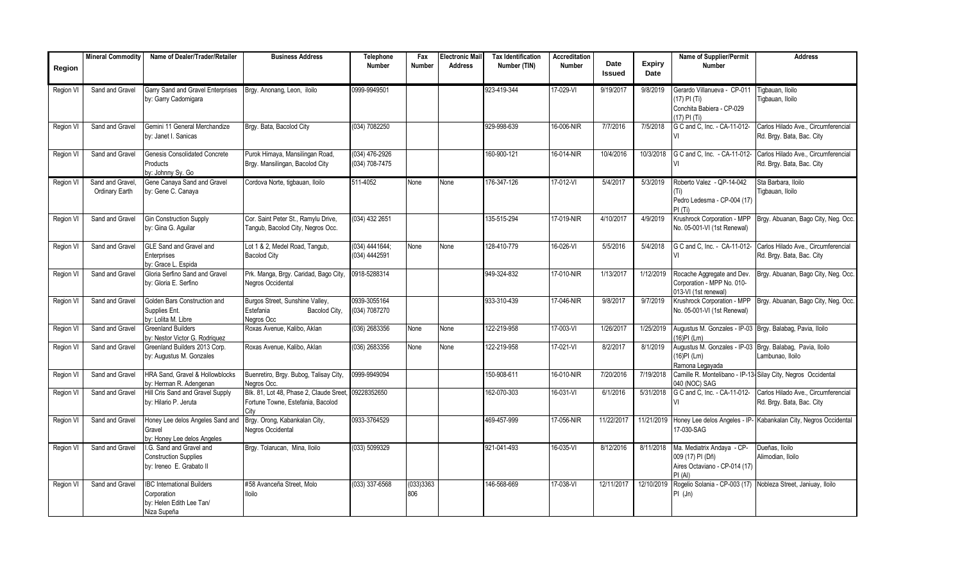|           | <b>Mineral Commodity</b>           | Name of Dealer/Trader/Retailer                                                              | <b>Business Address</b>                                                      | Telephone                        | Fax              | Electronic Mail | <b>Tax Identification</b> | Accreditation |                       |                       | Name of Supplier/Permit                                                                    | <b>Address</b>                                                   |
|-----------|------------------------------------|---------------------------------------------------------------------------------------------|------------------------------------------------------------------------------|----------------------------------|------------------|-----------------|---------------------------|---------------|-----------------------|-----------------------|--------------------------------------------------------------------------------------------|------------------------------------------------------------------|
| Region    |                                    |                                                                                             |                                                                              | <b>Number</b>                    | <b>Number</b>    | <b>Address</b>  | Number (TIN)              | <b>Number</b> | Date<br><b>Issued</b> | <b>Expiry</b><br>Date | <b>Number</b>                                                                              |                                                                  |
| Region VI | Sand and Gravel                    | Garry Sand and Gravel Enterprises<br>by: Garry Cadornigara                                  | Brgy. Anonang, Leon, iloilo                                                  | 0999-9949501                     |                  |                 | 923-419-344               | 17-029-VI     | 9/19/2017             | 9/8/2019              | Gerardo Villanueva - CP-011<br>(17) PI (Ti)<br>Conchita Babiera - CP-029<br>17) PI (Ti)    | Tigbauan, Iloilo<br>Tigbauan, Iloilo                             |
| Region VI | Sand and Gravel                    | Gemini 11 General Merchandize<br>by: Janet I. Sanicas                                       | Brgy. Bata, Bacolod City                                                     | (034) 7082250                    |                  |                 | 929-998-639               | 16-006-NIR    | 7/7/2016              | 7/5/2018              | G C and C, Inc. - CA-11-012-                                                               | Carlos Hilado Ave., Circumferencial<br>Rd. Brgy. Bata, Bac. City |
| Region VI | Sand and Gravel                    | <b>Genesis Consolidated Concrete</b><br>Products<br>by: Johnny Sy. Go                       | Purok Himaya, Mansilingan Road,<br>Brgy. Mansilingan, Bacolod City           | (034) 476-2926<br>(034) 708-7475 |                  |                 | 160-900-121               | 16-014-NIR    | 10/4/2016             | 10/3/2018             | G C and C, Inc. - CA-11-012-<br>VI                                                         | Carlos Hilado Ave Circumferencial<br>Rd. Brgy. Bata, Bac. City   |
| Region VI | Sand and Gravel.<br>Ordinary Earth | Gene Canava Sand and Gravel<br>by: Gene C. Canaya                                           | Cordova Norte, tigbauan, Iloilo                                              | 511-4052                         | None             | None            | 176-347-126               | $17-012-VI$   | 5/4/2017              | 5/3/2019              | Roberto Valez - QP-14-042<br>Pedro Ledesma - CP-004 (17)<br>PI(Ti)                         | Sta Barbara, Iloilo<br>Tiqbauan, Iloilo                          |
| Region VI | Sand and Gravel                    | <b>Gin Construction Supply</b><br>by: Gina G. Aquilar                                       | Cor. Saint Peter St., Ramylu Drive,<br>Tangub, Bacolod City, Negros Occ.     | (034) 432 2651                   |                  |                 | 135-515-294               | 17-019-NIR    | 4/10/2017             | 4/9/2019              | Krushrock Corporation - MPP<br>No. 05-001-VI (1st Renewal)                                 | Brgy. Abuanan, Bago City, Neg. Occ.                              |
| Region VI | Sand and Gravel                    | GLE Sand and Gravel and<br>Enterprises<br>by: Grace L. Espida                               | Lot 1 & 2, Medel Road, Tangub,<br><b>Bacolod City</b>                        | (034) 4441644;<br>(034) 4442591  | None             | None            | 128-410-779               | 16-026-VI     | 5/5/2016              | 5/4/2018              | G C and C, Inc. - CA-11-012-                                                               | Carlos Hilado Ave., Circumferencial<br>Rd. Brgy. Bata, Bac. City |
| Region VI | Sand and Gravel                    | Gloria Serfino Sand and Gravel<br>by: Gloria E. Serfino                                     | Prk. Manga, Brgy. Caridad, Bago City,<br>Negros Occidental                   | 0918-5288314                     |                  |                 | 949-324-832               | 17-010-NIR    | 1/13/2017             | 1/12/2019             | Rocache Aggregate and Dev.<br>Corporation - MPP No. 010-<br>013-VI (1st renewal)           | Brgy. Abuanan, Bago City, Neg. Occ.                              |
| Region VI | Sand and Gravel                    | Golden Bars Construction and<br>Supplies Ent.<br>by: Lolita M. Libre                        | Burgos Street, Sunshine Valley,<br>Estefania<br>Bacolod City,<br>Negros Occ  | 0939-3055164<br>(034) 7087270    |                  |                 | 933-310-439               | 17-046-NIR    | 9/8/2017              | 9/7/2019              | Krushrock Corporation - MPP<br>No. 05-001-VI (1st Renewal)                                 | Brgy. Abuanan, Bago City, Neg. Occ.                              |
| Region VI | Sand and Gravel                    | <b>Greenland Builders</b><br>by: Nestor Victor G. Rodriguez                                 | Roxas Avenue, Kalibo, Aklan                                                  | (036) 2683356                    | None             | None            | 122-219-958               | 17-003-VI     | 1/26/2017             | 1/25/2019             | Augustus M. Gonzales - IP-03 Brgy. Balabag, Pavia, Iloilo<br>16)PI (Lm)                    |                                                                  |
| Region V  | Sand and Gravel                    | Greenland Builders 2013 Corp.<br>by: Augustus M. Gonzales                                   | Roxas Avenue, Kalibo, Aklan                                                  | (036) 2683356                    | None             | None            | 122-219-958               | 17-021-VI     | 8/2/2017              | 8/1/2019              | Augustus M. Gonzales - IP-03 Brgy. Balabag, Pavia, Iloilo<br>16)PI (Lm)<br>Ramona Legayada | ambunao, Iloilo                                                  |
| Region VI | Sand and Gravel                    | HRA Sand. Gravel & Hollowblocks<br>by: Herman R. Adengenan                                  | Buenretiro, Brgy. Bubog, Talisay City,<br>Negros Occ.                        | 0999-9949094                     |                  |                 | 150-908-611               | 16-010-NIR    | 7/20/2016             | 7/19/2018             | 040 (NOC) SAG                                                                              | Camille R. Montelibano - IP-13-Silay City, Negros Occidental     |
| Region VI | Sand and Gravel                    | Hill Cris Sand and Gravel Supply<br>by: Hilario P. Jeruta                                   | Blk. 81, Lot 48, Phase 2, Claude Sreet,<br>Fortune Towne, Estefania, Bacolod | 09228352650                      |                  |                 | 162-070-303               | 16-031-VI     | 6/1/2016              | 5/31/2018             | G C and C, Inc. - CA-11-012-                                                               | Carlos Hilado Ave., Circumferencial<br>Rd. Brgy. Bata, Bac. City |
| Region VI | Sand and Gravel                    | Honey Lee delos Angeles Sand and<br>Gravel<br>by: Honey Lee delos Angeles                   | Brgy. Orong, Kabankalan City,<br>Negros Occidental                           | 0933-3764529                     |                  |                 | 469-457-999               | 17-056-NIR    | 11/22/2017            | 11/21/2019            | Honey Lee delos Angeles - IP<br>17-030-SAG                                                 | Kabankalan City, Negros Occidental                               |
| Region VI | Sand and Gravel                    | I.G. Sand and Gravel and<br><b>Construction Supplies</b><br>by: Ireneo E. Grabato II        | Brgy. Tolarucan, Mina, Iloilo                                                | (033) 5099329                    |                  |                 | 921-041-493               | 16-035-VI     | 8/12/2016             | 8/11/2018             | Ma. Mediatrix Andaya - CP-<br>009 (17) PI (Dñ)<br>Aires Octaviano - CP-014 (17)<br>PI(AI)  | Dueñas, Iloilo<br>Alimodian, Iloilo                              |
| Region VI | Sand and Gravel                    | <b>IBC International Builders</b><br>Corporation<br>by: Helen Edith Lee Tan/<br>Niza Supeña | #58 Avanceña Street, Molo<br><b>Iloilo</b>                                   | $(033)$ 337-6568                 | (033)3363<br>806 |                 | 146-568-669               | 17-038-VI     | 12/11/2017            | 12/10/2019            | $PI$ (Jn)                                                                                  | Rogelio Solania - CP-003 (17) Nobleza Street, Janiuay, Iloilo    |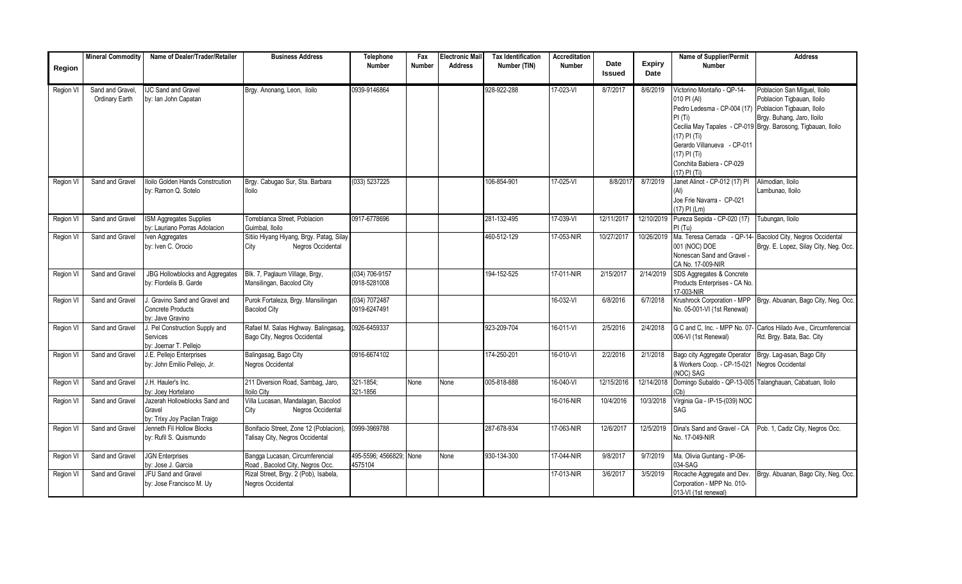|                  | <b>Mineral Commodity</b>           | Name of Dealer/Trader/Retailer                                          | <b>Business Address</b>                                                   | Telephone<br><b>Number</b>         | Fax<br><b>Number</b> | <b>Electronic Mail</b><br><b>Address</b> | <b>Tax Identification</b><br>Number (TIN) | <b>Accreditation</b><br><b>Number</b> | Date          | Expiry     | <b>Name of Supplier/Permit</b><br><b>Number</b>                                                                                                                                                    | <b>Address</b>                                                                                                                                                                          |
|------------------|------------------------------------|-------------------------------------------------------------------------|---------------------------------------------------------------------------|------------------------------------|----------------------|------------------------------------------|-------------------------------------------|---------------------------------------|---------------|------------|----------------------------------------------------------------------------------------------------------------------------------------------------------------------------------------------------|-----------------------------------------------------------------------------------------------------------------------------------------------------------------------------------------|
| Region           |                                    |                                                                         |                                                                           |                                    |                      |                                          |                                           |                                       | <b>Issued</b> | Date       |                                                                                                                                                                                                    |                                                                                                                                                                                         |
| Region VI        | Sand and Gravel,<br>Ordinary Earth | <b>IJC Sand and Gravel</b><br>by: Ian John Capatan                      | Brgy. Anonang, Leon, iloilo                                               | 0939-9146864                       |                      |                                          | 928-922-288                               | 17-023-VI                             | 8/7/2017      | 8/6/2019   | Victorino Montaño - QP-14-<br>010 PI (AI)<br>Pedro Ledesma - CP-004 (17)<br>PI(Ti)<br>$(17)$ PI $(Ti)$<br>Gerardo Villanueva - CP-011<br>(17) PI (Ti)<br>Conchita Babiera - CP-029<br>(17) PI (Ti) | Poblacion San Miguel, Iloilo<br>Poblacion Tigbauan, Iloilo<br>Poblacion Tigbauan, Iloilo<br>Brgy. Buhang, Jaro, Iloilo<br>Cecilia May Tapales - CP-019 Brgy. Barosong, Tigbauan, Iloilo |
| <b>Region VI</b> | Sand and Gravel                    | <b>Iloilo Golden Hands Constrcution</b><br>by: Ramon Q. Sotelo          | Brgy. Cabugao Sur, Sta. Barbara<br><b>Iloilo</b>                          | (033) 5237225                      |                      |                                          | 106-854-901                               | 17-025-VI                             | 8/8/2017      | 8/7/2019   | Janet Alinot - CP-012 (17) PI<br>Joe Frie Navarra - CP-021<br>(17) PI (Lm)                                                                                                                         | Alimodian, Iloilo<br>Lambunao, Iloilo                                                                                                                                                   |
| Region V         | Sand and Gravel                    | ISM Aggregates Supplies<br>by: Lauriano Porras Adolacion                | Torreblanca Street, Poblacion<br>Guimbal, Iloilo                          | 0917-6778696                       |                      |                                          | 281-132-495                               | 17-039-VI                             | 12/11/2017    | 12/10/2019 | Pureza Sepida - CP-020 (17)<br>PI(Tu)                                                                                                                                                              | Tubungan, Iloilo                                                                                                                                                                        |
| Region V         | Sand and Gravel                    | Iven Aggregates<br>by: Iven C. Orocio                                   | Sitiio Hiyang Hiyang, Brgy. Patag, Silay<br>Negros Occidental<br>City     |                                    |                      |                                          | 460-512-129                               | 17-053-NIR                            | 10/27/2017    | 10/26/2019 | Ma. Teresa Cerrada - QP-14-<br>001 (NOC) DOE<br>Nonescan Sand and Gravel -<br>CA No. 17-009-NIR                                                                                                    | Bacolod City, Negros Occidental<br>Brgy. E. Lopez, Silay City, Neg. Occ.                                                                                                                |
| Region VI        | Sand and Gravel                    | JBG Hollowblocks and Aggregates<br>by: Flordelis B. Garde               | Blk. 7, Paglaum Village, Brgy,<br>Mansilingan, Bacolod City               | (034) 706-9157<br>0918-5281008     |                      |                                          | 194-152-525                               | 17-011-NIR                            | 2/15/2017     | 2/14/2019  | SDS Aggregates & Concrete<br>Products Enterprises - CA No.<br>17-003-NIR                                                                                                                           |                                                                                                                                                                                         |
| Region VI        | Sand and Gravel                    | . Gravino Sand and Gravel and<br>Concrete Products<br>by: Jave Gravino  | Purok Fortaleza, Brgy. Mansilingan<br><b>Bacolod City</b>                 | (034) 7072487<br>0919-6247491      |                      |                                          |                                           | 16-032-VI                             | 6/8/2016      | 6/7/2018   | Krushrock Corporation - MPP<br>No. 05-001-VI (1st Renewal)                                                                                                                                         | Brgy. Abuanan, Bago City, Neg. Occ.                                                                                                                                                     |
| Region V         | Sand and Gravel                    | J. Pel Construction Supply and<br>Services<br>by: Joemar T. Pelleio     | Rafael M. Salas Highway. Balingasag,<br>Bago City, Negros Occidental      | 0926-6459337                       |                      |                                          | 923-209-704                               | 16-011-VI                             | 2/5/2016      | 2/4/2018   | G C and C. Inc. - MPP No. 07<br>006-VI (1st Renewal)                                                                                                                                               | Carlos Hilado Ave Circumferencial<br>Rd. Brgy. Bata, Bac. City                                                                                                                          |
| Region VI        | Sand and Gravel                    | J.E. Pellejo Enterprises<br>by: John Emilio Pellejo, Jr.                | Balingasag, Bago City<br><b>Vegros Occidental</b>                         | 0916-6674102                       |                      |                                          | 174-250-201                               | 16-010-VI                             | 2/2/2016      | 2/1/2018   | Bago city Aggregate Operator<br>& Workers Coop. - CP-15-021<br>NOC) SAG                                                                                                                            | Brgy. Lag-asan, Bago City<br>Negros Occidental                                                                                                                                          |
| Region VI        | Sand and Gravel                    | J.H. Hauler's Inc.<br>by: Joey Hortelano                                | 211 Diversion Road, Sambag, Jaro,<br>loilo City                           | 321-1854;<br>321-1856              | None                 | None                                     | 005-818-888                               | 16-040-VI                             | 12/15/2016    | 12/14/2018 | Domingo Subaldo - QP-13-005<br>Cb)                                                                                                                                                                 | Talanghauan, Cabatuan, Iloilo                                                                                                                                                           |
| Region VI        | Sand and Gravel                    | Jazerah Hollowblocks Sand and<br>Gravel<br>by: Trixy Joy Pacilan Traigo | Villa Lucasan, Mandalagan, Bacolod<br>City<br>Negros Occidental           |                                    |                      |                                          |                                           | 16-016-NIR                            | 10/4/2016     | 10/3/2018  | Virginia Ga - IP-15-(039) NOC<br>SAG                                                                                                                                                               |                                                                                                                                                                                         |
| Region VI        | Sand and Gravel                    | Jenneth Fil Hollow Blocks<br>by: Rufil S. Quismundo                     | Bonifacio Street, Zone 12 (Poblacion),<br>Talisay City, Negros Occidental | 0999-3969788                       |                      |                                          | 287-678-934                               | 17-063-NIR                            | 12/6/2017     | 12/5/2019  | Dina's Sand and Gravel - CA<br>No. 17-049-NIR                                                                                                                                                      | Pob. 1, Cadiz City, Negros Occ.                                                                                                                                                         |
| Region VI        | Sand and Gravel                    | JGN Enterprises<br>by: Jose J. Garcia                                   | Bangga Lucasan, Circumferencial<br>Road, Bacolod City, Negros Occ.        | 495-5596; 4566829; None<br>4575104 |                      | None                                     | 930-134-300                               | 17-044-NIR                            | 9/8/2017      | 9/7/2019   | Ma. Olivia Guntang - IP-06-<br>034-SAG                                                                                                                                                             |                                                                                                                                                                                         |
| <b>Region VI</b> | Sand and Gravel                    | <b>JFU Sand and Gravel</b><br>by: Jose Francisco M. Uy                  | Rizal Street, Brgy. 2 (Pob), Isabela,<br>Negros Occidental                |                                    |                      |                                          |                                           | 17-013-NIR                            | 3/6/2017      | 3/5/2019   | Rocache Aggregate and Dev.<br>Corporation - MPP No. 010-<br>013-VI (1st renewal)                                                                                                                   | Brgy. Abuanan, Bago City, Neg. Occ.                                                                                                                                                     |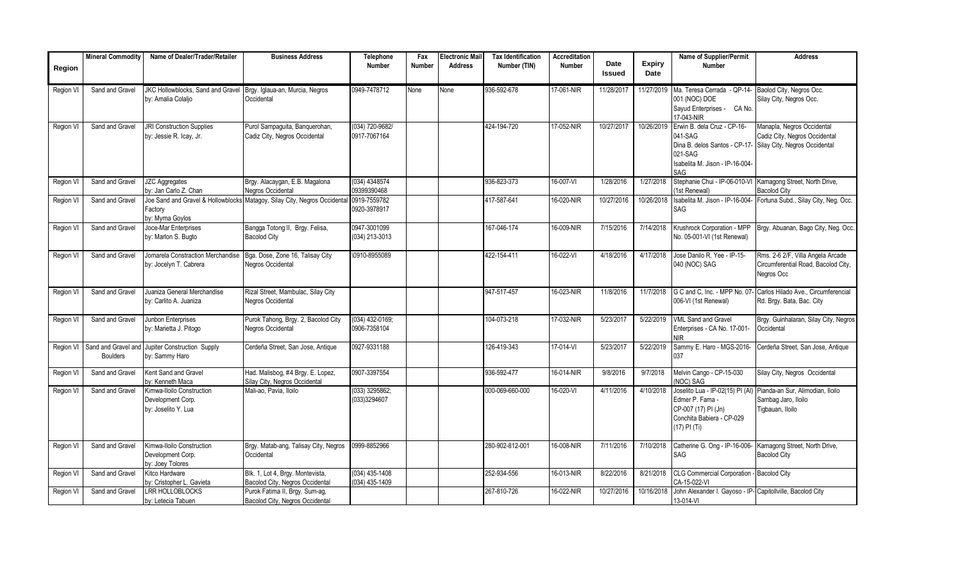|                  | <b>Mineral Commodity</b> | Name of Dealer/Trader/Retailer                                              | <b>Business Address</b>                                                                | Telephone                          | Fax    | <b>Electronic Mail</b> | <b>Tax Identification</b> | Accreditation |                |                       | Name of Supplier/Permit                                                                                                                                    | <b>Address</b>                                                                         |
|------------------|--------------------------|-----------------------------------------------------------------------------|----------------------------------------------------------------------------------------|------------------------------------|--------|------------------------|---------------------------|---------------|----------------|-----------------------|------------------------------------------------------------------------------------------------------------------------------------------------------------|----------------------------------------------------------------------------------------|
| Region           |                          |                                                                             |                                                                                        | <b>Number</b>                      | Number | <b>Address</b>         | Number (TIN)              | <b>Number</b> | Date<br>Issued | <b>Expiry</b><br>Date | Number                                                                                                                                                     |                                                                                        |
| Region VI        | Sand and Gravel          | JKC Hollowblocks, Sand and Gravel<br>by: Amalia Colaljo                     | Brgy. Iglaua-an, Murcia, Negros<br>Occidental                                          | 0949-7478712                       | None   | None                   | 936-592-678               | 17-061-NIR    | 11/28/2017     | 11/27/2019            | Ma. Teresa Cerrada - QP-14-<br>001 (NOC) DOE<br>Sayud Enterprises - CA No.<br>17-043-NIR                                                                   | Baolod City, Negros Occ.<br>Silay City, Negros Occ.                                    |
| Region VI        | Sand and Gravel          | <b>JRI Construction Supplies</b><br>by: Jessie R. Icay, Jr.                 | Purol Sampaguita, Banquerohan,<br>Cadiz City, Negros Occidental                        | (034) 720-9682/<br>0917-7067164    |        |                        | 424-194-720               | 17-052-NIR    | 10/27/2017     | 10/26/2019            | Erwin B. dela Cruz - CP-16-<br>041-SAG<br>Dina B. delos Santos - CP-17- Silay City, Negros Occidental<br>021-SAG<br>Isabelita M. Jison - IP-16-004-<br>SAG | Manapla, Negros Occidental<br>Cadiz City, Negros Occidental                            |
| Region VI        | Sand and Gravel          | <b>JZC Aggregates</b><br>by: Jan Carlo Z. Chan                              | Brgy. Alacaygan, E.B. Magalona<br>Negros Occidental                                    | (034) 4348574<br>09399390468       |        |                        | 936-823-373               | 16-007-VI     | 1/28/2016      | 1/27/2018             | Stephanie Chui - IP-06-010-VI<br>(1st Renewal)                                                                                                             | Kamagong Street, North Drive,<br><b>Bacolod City</b>                                   |
| Region VI        | Sand and Gravel          | Factory<br>by: Myrna Goylos                                                 | Joe Sand and Gravel & Hollowblocks Matagoy, Silay City, Negros Occidental 0919-7559782 | 0920-3978917                       |        |                        | 417-587-641               | 16-020-NIR    | 10/27/2016     | 10/26/2018            | Isabelita M. Jison - IP-16-004-<br>SAG                                                                                                                     | Fortuna Subd., Silay City, Neg. Occ.                                                   |
| Region VI        | Sand and Gravel          | Joce-Mar Enterprises<br>by: Marlon S. Bugto                                 | Bangga Totong II, Brgy. Felisa,<br><b>Bacolod City</b>                                 | 0947-3001099<br>(034) 213-3013     |        |                        | 167-046-174               | 16-009-NIR    | 7/15/2016      | 7/14/2018             | Krushrock Corporation - MPP<br>No. 05-001-VI (1st Renewal)                                                                                                 | Brgy. Abuanan, Bago City, Neg. Occ.                                                    |
| Region VI        | Sand and Gravel          | Jomarela Constraction Merchandise<br>by: Jocelyn T. Cabrera                 | Bga. Dose, Zone 16, Talisay City<br>Negros Occidental                                  | \0910-8955089                      |        |                        | 422-154-411               | 16-022-VI     | 4/18/2016      | 4/17/2018             | Jose Danilo R. Yee - IP-15-<br>040 (NOC) SAG                                                                                                               | Rms. 2-6 2/F, Villa Angela Arcade<br>Circumferential Road, Bacolod City,<br>Negros Occ |
| Region VI        | Sand and Gravel          | Juaniza General Merchandise<br>by: Carlito A. Juaniza                       | Rizal Street, Mambulac, Silay City<br>Negros Occidental                                |                                    |        |                        | 947-517-457               | 16-023-NIR    | 11/8/2016      | 11/7/2018             | G C and C, Inc. - MPP No. 07<br>006-VI (1st Renewal)                                                                                                       | Carlos Hilado Ave., Circumferencial<br>Rd. Brgy. Bata, Bac. City                       |
| Region VI        | Sand and Gravel          | Junbon Enterprises<br>by: Marietta J. Pitogo                                | Purok Tahong, Brgy. 2, Bacolod City<br>Negros Occidental                               | $(034)$ 432-0169;<br>0906-7358104  |        |                        | 104-073-218               | 17-032-NIR    | 5/23/2017      | 5/22/2019             | <b>VML Sand and Gravel</b><br>Enterprises - CA No. 17-001-<br><b>NIR</b>                                                                                   | Brgy. Guinhalaran, Silay City, Negros<br>Occidental                                    |
|                  | <b>Boulders</b>          | Region VI Sand and Gravel and Jupiter Construction Supply<br>by: Sammy Haro | Cerdeña Street, San Jose, Antique                                                      | 0927-9331188                       |        |                        | 126-419-343               | 17-014-VI     | 5/23/2017      | 5/22/2019             | Sammy E. Haro - MGS-2016-<br>037                                                                                                                           | Cerdeña Street, San Jose, Antique                                                      |
| Region VI        | Sand and Gravel          | Kent Sand and Gravel<br>bv: Kenneth Maca                                    | Had. Malisbog, #4 Brgy. E. Lopez,<br>Silay City, Negros Occidental                     | 0907-3397554                       |        |                        | 936-592-477               | 16-014-NIR    | 9/8/2016       | 9/7/2018              | Melvin Cango - CP-15-030<br>(NOC) SAG                                                                                                                      | Silay City, Negros Occidental                                                          |
| <b>Region VI</b> | Sand and Gravel          | Kimwa-Iloilo Construction<br>Development Corp.<br>bv: Joselito Y. Lua       | Mali-ao. Pavia. Iloilo                                                                 | (033) 3295862;<br>(033)3294607     |        |                        | 000-069-660-000           | 16-020-VI     | 4/11/2016      | 4/10/2018             | Joselito Lua - IP-02(15) PI (AI)<br>Edmer P. Fama -<br>CP-007 (17) PI (Jn)<br>Conchita Babiera - CP-029<br>(17) PI (Ti)                                    | Pianda-an Sur. Alimodian. Iloilo<br>Sambag Jaro, Iloilo<br><b>Tigbauan, Iloilo</b>     |
| Region VI        | Sand and Gravel          | Kimwa-Iloilo Construction<br>Development Corp.<br>by: Joey Tolores          | Brgy. Matab-ang, Talisay City, Negros<br>Occidental                                    | 0999-8852966                       |        |                        | 280-902-812-001           | 16-008-NIR    | 7/11/2016      | 7/10/2018             | Catherine G. Ong - IP-16-006-<br>SAG                                                                                                                       | Kamagong Street, North Drive,<br><b>Bacolod City</b>                                   |
| Region VI        | Sand and Gravel          | Kitco Hardware<br>by: Cristopher L. Gavieta                                 | Blk. 1, Lot 4, Brgy. Montevista,<br>Bacolod City, Negros Occidental                    | $(034)$ 435-1408<br>(034) 435-1409 |        |                        | 252-934-556               | 16-013-NIR    | 8/22/2016      | 8/21/2018             | CLG Commercial Corporation -<br>CA-15-022-VI                                                                                                               | <b>Bacolod City</b>                                                                    |
| Region VI        | Sand and Gravel          | <b>LRR HOLLOBLOCKS</b><br>by: Letecia Tabuen                                | Purok Fatima II, Brgy. Sum-ag,<br>Bacolod City, Negros Occidental                      |                                    |        |                        | 267-810-726               | 16-022-NIR    | 10/27/2016     | 10/16/2018            | John Alexander I. Gayoso - IP- Capitollville, Bacolod City<br>13-014-VI                                                                                    |                                                                                        |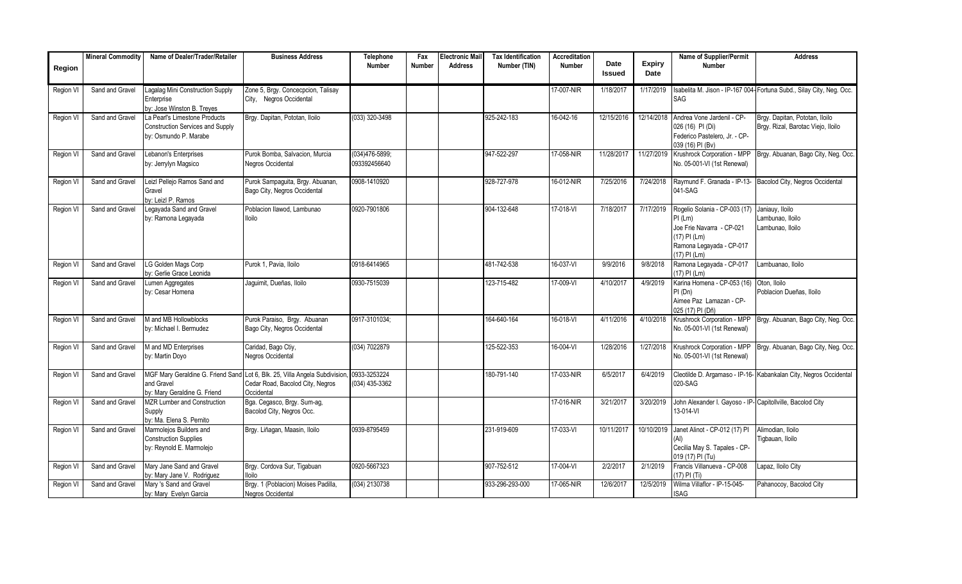|           | <b>Mineral Commodity</b> | Name of Dealer/Trader/Retailer                                                                    | <b>Business Address</b>                                                                                                                    | Telephone                      | Fax    | <b>Electronic Mail</b> | <b>Tax Identification</b> | Accreditation |                       |                       | <b>Name of Supplier/Permit</b>                                                                                                      | <b>Address</b>                                                        |
|-----------|--------------------------|---------------------------------------------------------------------------------------------------|--------------------------------------------------------------------------------------------------------------------------------------------|--------------------------------|--------|------------------------|---------------------------|---------------|-----------------------|-----------------------|-------------------------------------------------------------------------------------------------------------------------------------|-----------------------------------------------------------------------|
| Region    |                          |                                                                                                   |                                                                                                                                            | Number                         | Number | <b>Address</b>         | Number (TIN)              | <b>Number</b> | Date<br><b>Issued</b> | <b>Expiry</b><br>Date | <b>Number</b>                                                                                                                       |                                                                       |
| Region VI | Sand and Gravel          | agalag Mini Construction Supply<br>Enterprise<br>by: Jose Winston B. Treyes                       | Zone 5, Brgy. Concecpcion, Talisay<br>City, Negros Occidental                                                                              |                                |        |                        |                           | 17-007-NIR    | 1/18/2017             | 1/17/2019             | SAG                                                                                                                                 | Isabelita M. Jison - IP-167 004- Fortuna Subd., Silay City, Neg. Occ. |
| Region VI | Sand and Gravel          | La Pearl's Limestone Products<br><b>Construction Services and Supply</b><br>by: Osmundo P. Marabe | Brgy. Dapitan, Pototan, Iloilo                                                                                                             | (033) 320-3498                 |        |                        | 925-242-183               | 16-042-16     | 12/15/2016            | 12/14/2018            | Andrea Vone Jardenil - CP-<br>026 (16) PI (Di)<br>Federico Pastelero, Jr. - CP-<br>039 (16) PI (Bv)                                 | Brgy. Dapitan, Pototan, Iloilo<br>Brgy. Rizal, Barotac Viejo, Iloilo  |
| Region VI | Sand and Gravel          | Lebanon's Enterprises<br>by: Jerrylyn Magsico                                                     | Purok Bomba, Salvacion, Murcia<br><b>Negros Occidental</b>                                                                                 | (034)476-5899;<br>093392456640 |        |                        | 947-522-297               | 17-058-NIR    | 11/28/2017            | 11/27/2019            | Krushrock Corporation - MPP<br>No. 05-001-VI (1st Renewal)                                                                          | Brgy. Abuanan, Bago City, Neg. Occ.                                   |
| Region VI | Sand and Gravel          | Leizl Pellejo Ramos Sand and<br>Gravel<br>by: Leizl P. Ramos                                      | Purok Sampaguita, Brgy. Abuanan,<br>Bago City, Negros Occidental                                                                           | 0908-1410920                   |        |                        | 928-727-978               | 16-012-NIR    | 7/25/2016             | 7/24/2018             | Raymund F. Granada - IP-13-<br>041-SAG                                                                                              | Bacolod City, Negros Occidental                                       |
| Region V  | Sand and Gravel          | Legayada Sand and Gravel<br>by: Ramona Legayada                                                   | Poblacion Ilawod, Lambunao<br><b>Iloilo</b>                                                                                                | 0920-7901806                   |        |                        | 904-132-648               | 17-018-VI     | 7/18/2017             | 7/17/2019             | Rogelio Solania - CP-003 (17)<br>$PI$ (Lm)<br>Joe Frie Navarra - CP-021<br>(17) PI (Lm)<br>Ramona Legayada - CP-017<br>(17) PI (Lm) | Janiauy, Iloilo<br>ambunao, Iloilo<br>Lambunao, Iloilo                |
| Region VI | Sand and Gravel          | LG Golden Mags Corp<br>by: Gerlie Grace Leonida                                                   | Purok 1, Pavia, Iloilo                                                                                                                     | 0918-6414965                   |        |                        | 481-742-538               | 16-037-VI     | 9/9/2016              | 9/8/2018              | Ramona Legayada - CP-017<br>(17) PI (Lm)                                                                                            | Lambuanao, Iloilo                                                     |
| Region VI | Sand and Gravel          | Lumen Aggregates<br>by: Cesar Homena                                                              | Jaquimit, Dueñas, Iloilo                                                                                                                   | 0930-7515039                   |        |                        | 123-715-482               | 17-009-VI     | 4/10/2017             | 4/9/2019              | Karina Homena - CP-053 (16)<br>PI(Dn)<br>Aimee Paz Lamazan - CP-<br>025 (17) PI (Dñ)                                                | Oton, Iloilo<br>Poblacion Dueñas, Iloilo                              |
| Region VI | Sand and Gravel          | M and MB Hollowblocks<br>by: Michael I. Bermudez                                                  | Purok Paraiso, Brgy. Abuanan<br>Bago City, Negros Occidental                                                                               | 0917-3101034;                  |        |                        | 164-640-164               | 16-018-VI     | 4/11/2016             | 4/10/2018             | Krushrock Corporation - MPP<br>No. 05-001-VI (1st Renewal)                                                                          | Brgy. Abuanan, Bago City, Neg. Occ.                                   |
| Region VI | Sand and Gravel          | M and MD Enterprises<br>by: Martin Doyo                                                           | Caridad, Bago Ctiy,<br><b>Vegros Occidental</b>                                                                                            | (034) 7022879                  |        |                        | 125-522-353               | 16-004-VI     | 1/28/2016             | 1/27/2018             | Krushrock Corporation - MPP<br>No. 05-001-VI (1st Renewal)                                                                          | Brgy. Abuanan, Bago City, Neg. Occ.                                   |
| Region VI | Sand and Gravel          | and Gravel<br>by: Mary Geraldine G. Friend                                                        | MGF Mary Geraldine G. Friend Sand Lot 6, Blk. 25, Villa Angela Subdivision, 0933-3253224<br>Cedar Road, Bacolod City, Negros<br>Occidental | $(034)$ 435-3362               |        |                        | 180-791-140               | 17-033-NIR    | 6/5/2017              | 6/4/2019              | 020-SAG                                                                                                                             | Cleotilde D. Argamaso - IP-16- Kabankalan City, Negros Occidental     |
| Region VI | Sand and Gravel          | <b>MZR Lumber and Construction</b><br>Supply<br>by: Ma. Elena S. Pernito                          | Bga. Cegasco, Brgy. Sum-ag,<br>Bacolod City, Negros Occ.                                                                                   |                                |        |                        |                           | 17-016-NIR    | 3/21/2017             | 3/20/2019             | John Alexander I. Gayoso - IP- Capitollville, Bacolod City<br>13-014-VI                                                             |                                                                       |
| Region VI | Sand and Gravel          | Marmolejos Builders and<br><b>Construction Supplies</b><br>by: Reynold E. Marmolejo               | Brgy. Liñagan, Maasin, Iloilo                                                                                                              | 0939-8795459                   |        |                        | 231-919-609               | 17-033-VI     | 10/11/2017            | 10/10/2019            | Janet Alinot - CP-012 (17) PI<br>Cecilia May S. Tapales - CP-<br>019 (17) PI (Tu)                                                   | Alimodian. Iloilo<br>Tigbauan, Iloilo                                 |
| Region VI | Sand and Gravel          | Mary Jane Sand and Gravel<br>by: Mary Jane V. Rodriquez                                           | Brgy. Cordova Sur, Tigabuan<br>loilo                                                                                                       | 0920-5667323                   |        |                        | 907-752-512               | 17-004-VI     | 2/2/2017              | 2/1/2019              | Francis Villanueva - CP-008<br>17) PI (Ti)                                                                                          | Lapaz, Iloilo City                                                    |
| Region VI | Sand and Gravel          | Mary 's Sand and Gravel<br>by: Mary Evelyn Garcia                                                 | Brgy. 1 (Poblacion) Moises Padilla,<br>Negros Occidental                                                                                   | $(034)$ 2130738                |        |                        | 933-296-293-000           | 17-065-NIR    | 12/6/2017             | 12/5/2019             | Wilma Villaflor - IP-15-045-<br><b>ISAG</b>                                                                                         | Pahanocoy, Bacolod City                                               |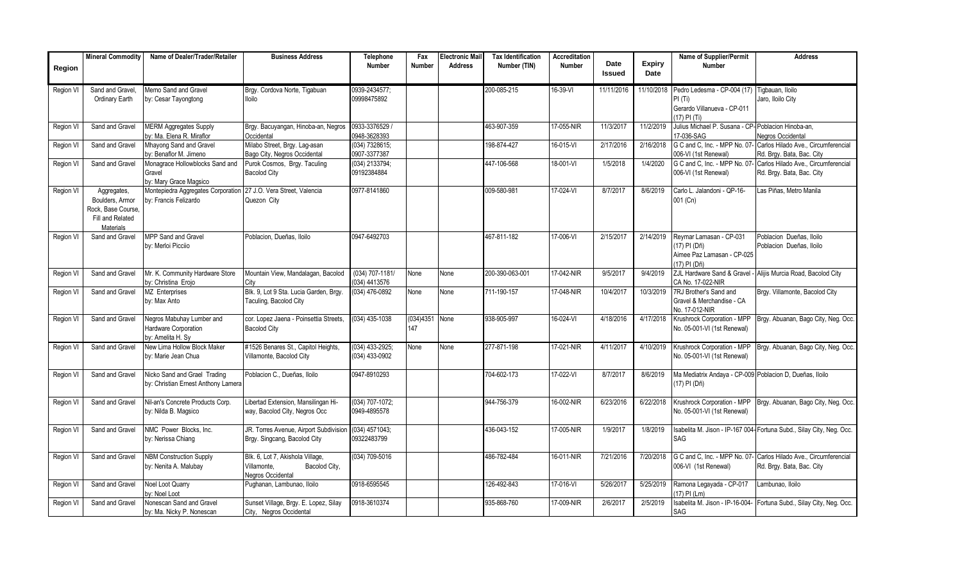|           | <b>Mineral Commodity</b> | Name of Dealer/Trader/Retailer                               | <b>Business Address</b>                                | Telephone                       | Fax           | <b>Electronic Mail</b> | <b>Tax Identification</b> | <b>Accreditation</b> |                       |                | Name of Supplier/Permit                                    | <b>Address</b>                                                        |
|-----------|--------------------------|--------------------------------------------------------------|--------------------------------------------------------|---------------------------------|---------------|------------------------|---------------------------|----------------------|-----------------------|----------------|------------------------------------------------------------|-----------------------------------------------------------------------|
| Region    |                          |                                                              |                                                        | <b>Number</b>                   | <b>Number</b> | <b>Address</b>         | Number (TIN)              | <b>Number</b>        | Date<br><b>Issued</b> | Expiry<br>Date | <b>Number</b>                                              |                                                                       |
|           |                          |                                                              |                                                        |                                 |               |                        |                           |                      |                       |                |                                                            |                                                                       |
| Region VI | Sand and Gravel          | Memo Sand and Gravel                                         | Brgy. Cordova Norte, Tigabuan                          | 0939-2434577;                   |               |                        | 200-085-215               | 16-39-VI             | 11/11/2016            | 11/10/2018     | Pedro Ledesma - CP-004 (17)                                | Tigbauan, Iloilo                                                      |
|           | Ordinary Earth           | by: Cesar Tayongtong                                         | <b>Iloilo</b>                                          | 09998475892                     |               |                        |                           |                      |                       |                | PI(Ti)<br>Gerardo Villanueva - CP-011                      | Jaro, Iloilo City                                                     |
|           |                          |                                                              |                                                        |                                 |               |                        |                           |                      |                       |                | (17) PI (Ti)                                               |                                                                       |
| Region VI | Sand and Gravel          | <b>MERM Aggregates Supply</b>                                | Brgy. Bacuyangan, Hinoba-an, Negros                    | 0933-3376529 /                  |               |                        | 463-907-359               | 17-055-NIR           | 11/3/2017             | 11/2/2019      | Julius Michael P. Susana - CP-Poblacion Hinoba-an,         |                                                                       |
|           |                          | ον: Ma. Elena R. Miraflor                                    | Occidental                                             | 0948-3628393                    |               |                        |                           |                      |                       |                | 17-036-SAG                                                 | <b>Negros Occidental</b>                                              |
| Region VI | Sand and Gravel          | Mhayong Sand and Gravel                                      | Milabo Street, Brgy. Lag-asan                          | (034) 7328615;                  |               |                        | 198-874-427               | 16-015-VI            | 2/17/2016             | 2/16/2018      | G C and C, Inc. - MPP No. 07-                              | Carlos Hilado Ave., Circumferencial                                   |
|           |                          | by: Benaflor M. Jimeno                                       | Bago City, Negros Occidental                           | 0907-3377387                    |               |                        |                           |                      |                       |                | 006-VI (1st Renewal)                                       | Rd. Brgy. Bata, Bac. City                                             |
| Region VI | Sand and Gravel          | Monagrace Hollowblocks Sand and                              | Purok Cosmos, Brgy. Taculing                           | (034) 2133794;                  |               |                        | 447-106-568               | 18-001-VI            | 1/5/2018              | 1/4/2020       | G C and C, Inc. - MPP No. 07-                              | Carlos Hilado Ave., Circumferencial                                   |
|           |                          | Gravel                                                       | <b>Bacolod City</b>                                    | 09192384884                     |               |                        |                           |                      |                       |                | 006-VI (1st Renewal)                                       | Rd. Brgy. Bata, Bac. City                                             |
| Region VI | Aggregates,              | by: Mary Grace Magsico<br>Montepiedra Aggregates Corporation | 27 J.O. Vera Street. Valencia                          | 0977-8141860                    |               |                        | 009-580-981               | 17-024-VI            | 8/7/2017              | 8/6/2019       | Carlo L. Jalandoni - QP-16-                                | as Piñas, Metro Manila                                                |
|           | Boulders, Armor          | by: Francis Felizardo                                        | Quezon City                                            |                                 |               |                        |                           |                      |                       |                | 001 (Cn)                                                   |                                                                       |
|           | Rock, Base Course,       |                                                              |                                                        |                                 |               |                        |                           |                      |                       |                |                                                            |                                                                       |
|           | Fill and Related         |                                                              |                                                        |                                 |               |                        |                           |                      |                       |                |                                                            |                                                                       |
|           | Materials                |                                                              |                                                        |                                 |               |                        |                           |                      |                       |                |                                                            |                                                                       |
| Region VI | Sand and Gravel          | MPP Sand and Gravel                                          | Poblacion, Dueñas, Iloilo                              | 0947-6492703                    |               |                        | 467-811-182               | 17-006-VI            | 2/15/2017             | 2/14/2019      | Reymar Lamasan - CP-031                                    | Poblacion Dueñas, Iloilo                                              |
|           |                          | by: Merloi Picciio                                           |                                                        |                                 |               |                        |                           |                      |                       |                | (17) PI (Dñ)                                               | Poblacion Dueñas, Iloilo                                              |
|           |                          |                                                              |                                                        |                                 |               |                        |                           |                      |                       |                | Aimee Paz Lamasan - CP-025<br>17) PI (Dñ)                  |                                                                       |
| Region VI | Sand and Gravel          | Mr. K. Community Hardware Store                              | Mountain View, Mandalagan, Bacolod                     | $(034) 707 - 1181/$             | None          | None                   | 200-390-063-001           | 17-042-NIR           | 9/5/2017              | 9/4/2019       | ZJL Hardware Sand & Gravel -                               | Alijis Murcia Road, Bacolod City                                      |
|           |                          | by: Christina Erojo                                          | City                                                   | (034) 4413576                   |               |                        |                           |                      |                       |                | CA No. 17-022-NIR                                          |                                                                       |
| Region VI | Sand and Gravel          | MZ Enterprises                                               | Blk. 9, Lot 9 Sta. Lucia Garden, Brgy.                 | (034) 476-0892                  | None          | None                   | 711-190-157               | 17-048-NIR           | 10/4/2017             | 10/3/2019      | 7RJ Brother's Sand and                                     | Brgy. Villamonte, Bacolod City                                        |
|           |                          | by: Max Anto                                                 | Taculing, Bacolod City                                 |                                 |               |                        |                           |                      |                       |                | Gravel & Merchandise - CA                                  |                                                                       |
|           |                          |                                                              |                                                        |                                 |               |                        |                           |                      |                       |                | No. 17-012-NIR                                             |                                                                       |
| Region VI | Sand and Gravel          | Negros Mabuhay Lumber and                                    | cor. Lopez Jaena - Poinsettia Streets,                 | (034) 435-1038                  | (034)4351     | None                   | 938-905-997               | 16-024-VI            | 4/18/2016             | 4/17/2018      | Krushrock Corporation - MPP                                | Brgy. Abuanan, Bago City, Neg. Occ.                                   |
|           |                          | Hardware Corporation<br>by: Amelita H. Sv                    | <b>Bacolod City</b>                                    |                                 | 147           |                        |                           |                      |                       |                | No. 05-001-VI (1st Renewal)                                |                                                                       |
| Region VI | Sand and Gravel          | New Lima Hollow Block Maker                                  | #1526 Benares St., Capitol Heights,                    | (034) 433-2925;                 | None          | None                   | 277-871-198               | 17-021-NIR           | 4/11/2017             | 4/10/2019      | Krushrock Corporation - MPP                                | Brgy. Abuanan, Bago City, Neg. Occ.                                   |
|           |                          | by: Marie Jean Chua                                          | Villamonte, Bacolod City                               | (034) 433-0902                  |               |                        |                           |                      |                       |                | No. 05-001-VI (1st Renewal)                                |                                                                       |
|           |                          |                                                              |                                                        |                                 |               |                        |                           |                      |                       |                |                                                            |                                                                       |
| Region VI | Sand and Gravel          | Nicko Sand and Grael Trading                                 | Poblacion C., Dueñas, Iloilo                           | 0947-8910293                    |               |                        | 704-602-173               | 17-022-VI            | 8/7/2017              | 8/6/2019       | Ma Mediatrix Andaya - CP-009 Poblacion D, Dueñas, Iloilo   |                                                                       |
|           |                          | by: Christian Ernest Anthony Lamera                          |                                                        |                                 |               |                        |                           |                      |                       |                | (17) PI (Dñ)                                               |                                                                       |
|           |                          |                                                              |                                                        |                                 |               |                        |                           |                      |                       |                |                                                            |                                                                       |
| Region VI | Sand and Gravel          | Nil-an's Concrete Products Corp.<br>by: Nilda B. Magsico     | ibertad Extension, Mansilingan Hi-                     | (034) 707-1072;<br>0949-4895578 |               |                        | 944-756-379               | 16-002-NIR           | 6/23/2016             | 6/22/2018      | Krushrock Corporation - MPP<br>No. 05-001-VI (1st Renewal) | Brgy. Abuanan, Bago City, Neg. Occ.                                   |
|           |                          |                                                              | way, Bacolod City, Negros Occ                          |                                 |               |                        |                           |                      |                       |                |                                                            |                                                                       |
| Region VI | Sand and Gravel          | NMC Power Blocks, Inc.                                       | JR. Torres Avenue, Airport Subdivision                 | (034) 4571043;                  |               |                        | 436-043-152               | 17-005-NIR           | 1/9/2017              | 1/8/2019       |                                                            | Isabelita M. Jison - IP-167 004- Fortuna Subd., Silay City, Neg. Occ. |
|           |                          | by: Nerissa Chiang                                           | Brgy. Singcang, Bacolod City                           | 09322483799                     |               |                        |                           |                      |                       |                | SAG                                                        |                                                                       |
|           |                          |                                                              |                                                        |                                 |               |                        |                           |                      |                       |                |                                                            |                                                                       |
| Region VI | Sand and Gravel          | <b>NBM Construction Supply</b>                               | Blk. 6, Lot 7, Akishola Village,                       | $(034) 709 - 5016$              |               |                        | 486-782-484               | 16-011-NIR           | 7/21/2016             | 7/20/2018      | G C and C, Inc. - MPP No. 07-                              | Carlos Hilado Ave., Circumferencial                                   |
|           |                          | by: Nenita A. Malubay                                        | Villamonte.<br>Bacolod City,                           |                                 |               |                        |                           |                      |                       |                | 006-VI (1st Renewal)                                       | Rd. Brgy. Bata, Bac. City                                             |
|           | Sand and Gravel          |                                                              | <b>Vegros Occidental</b><br>Pughanan, Lambunao, Iloilo | 0918-6595545                    |               |                        | 126-492-843               | 17-016-VI            | 5/26/2017             | 5/25/2019      |                                                            | Lambunao, Iloilo                                                      |
| Region VI |                          | <b>Noel Loot Quarry</b><br><b>v: Noel Loot</b>               |                                                        |                                 |               |                        |                           |                      |                       |                | Ramona Legayada - CP-017<br>17) PI (Lm)                    |                                                                       |
| Region VI | Sand and Gravel          | Nonescan Sand and Gravel                                     | Sunset Village, Brgy. E. Lopez, Silay                  | 0918-3610374                    |               |                        | 935-868-760               | 17-009-NIR           | 2/6/2017              | 2/5/2019       | Isabelita M. Jison - IP-16-004                             | Fortuna Subd., Silay City, Neg. Occ.                                  |
|           |                          | by: Ma. Nicky P. Nonescan                                    | City, Negros Occidental                                |                                 |               |                        |                           |                      |                       |                | SAG                                                        |                                                                       |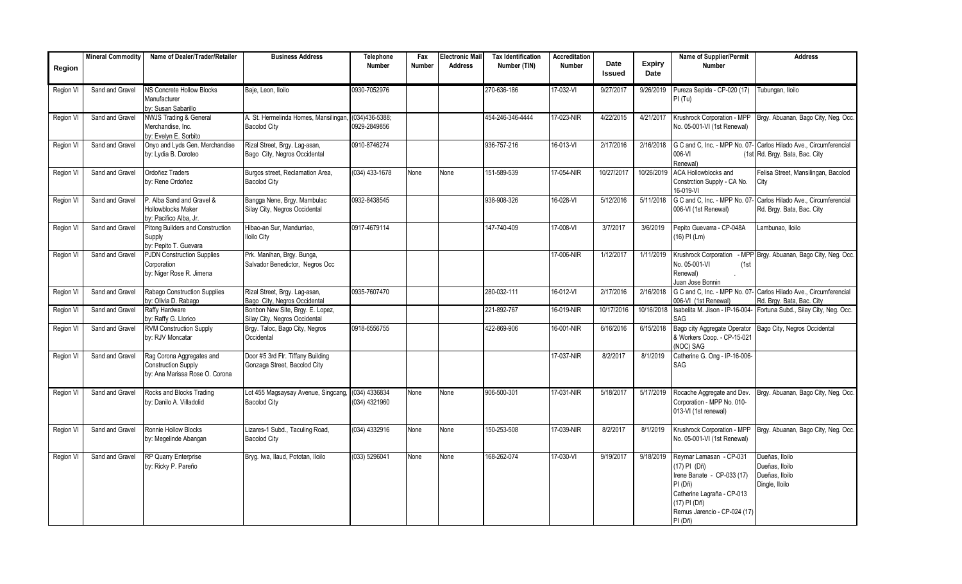|           | <b>Mineral Commodity</b> | Name of Dealer/Trader/Retailer                                                            | <b>Business Address</b>                                           | <b>Telephone</b>                   | Fax    | <b>Electronic Mail</b> | <b>Tax Identification</b> | Accreditation |                       |                | Name of Supplier/Permit                                                                                                                                                   | <b>Address</b>                                                                                      |
|-----------|--------------------------|-------------------------------------------------------------------------------------------|-------------------------------------------------------------------|------------------------------------|--------|------------------------|---------------------------|---------------|-----------------------|----------------|---------------------------------------------------------------------------------------------------------------------------------------------------------------------------|-----------------------------------------------------------------------------------------------------|
| Region    |                          |                                                                                           |                                                                   | <b>Number</b>                      | Number | <b>Address</b>         | Number (TIN)              | <b>Number</b> | Date<br><b>Issued</b> | Expiry<br>Date | <b>Number</b>                                                                                                                                                             |                                                                                                     |
| Region VI | Sand and Gravel          | NS Concrete Hollow Blocks<br>Manufacturer<br>by: Susan Sabarillo                          | Baje, Leon, Iloilo                                                | 0930-7052976                       |        |                        | 270-636-186               | 17-032-VI     | 9/27/2017             | 9/26/2019      | Pureza Sepida - CP-020 (17)<br>PI(Tu)                                                                                                                                     | Tubungan, Iloilo                                                                                    |
| Region V  | Sand and Gravel          | <b>NWJS Trading &amp; General</b><br>Merchandise. Inc.<br>by: Evelyn E. Sorbito           | A. St. Hermelinda Homes, Mansilingan,<br><b>Bacolod City</b>      | $(034)436 - 5388;$<br>0929-2849856 |        |                        | 454-246-346-4444          | 17-023-NIR    | 4/22/2015             | 4/21/2017      | Krushrock Corporation - MPP<br>No. 05-001-VI (1st Renewal)                                                                                                                | Brgy. Abuanan, Bago City, Neg. Occ.                                                                 |
| Region VI | Sand and Gravel          | Onyo and Lyds Gen. Merchandise<br>by: Lydia B. Doroteo                                    | Rizal Street, Brgy. Lag-asan,<br>Bago City, Negros Occidental     | 0910-8746274                       |        |                        | 936-757-216               | 16-013-VI     | 2/17/2016             | 2/16/2018      | 006-VI<br>Renewal)                                                                                                                                                        | G C and C, Inc. - MPP No. 07- Carlos Hilado Ave., Circumferencial<br>(1st Rd. Brgy. Bata, Bac. City |
| Region VI | Sand and Gravel          | Ordoñez Traders<br>by: Rene Ordoñez                                                       | Burgos street, Reclamation Area,<br><b>Bacolod City</b>           | $(034)$ 433-1678                   | None   | None                   | 151-589-539               | 17-054-NIR    | 10/27/2017            | 10/26/2019     | ACA Hollowblocks and<br>Constrction Supply - CA No.<br>16-019-VI                                                                                                          | Felisa Street, Mansilingan, Bacolod<br>City                                                         |
| Region VI | Sand and Gravel          | P. Alba Sand and Gravel &<br><b>Hollowblocks Maker</b><br>by: Pacifico Alba, Jr.          | Bangga Nene, Brgy. Mambulac<br>Silay City, Negros Occidental      | 0932-8438545                       |        |                        | 938-908-326               | 16-028-VI     | 5/12/2016             | 5/11/2018      | G C and C, Inc. - MPP No. 07<br>006-VI (1st Renewal)                                                                                                                      | Carlos Hilado Ave., Circumferencial<br>Rd. Brgy. Bata, Bac. City                                    |
| Region VI | Sand and Gravel          | Pitong Builders and Construction<br>Supply<br>by: Pepito T. Guevara                       | Hibao-an Sur, Mandurriao,<br><b>Iloilo City</b>                   | 0917-4679114                       |        |                        | 147-740-409               | 17-008-VI     | 3/7/2017              | 3/6/2019       | Pepito Guevarra - CP-048A<br>$(16)$ PI (Lm)                                                                                                                               | Lambunao, Iloilo                                                                                    |
| Region V  | Sand and Gravel          | <b>PJDN Construction Supplies</b><br>Corporation<br>by: Niger Rose R. Jimena              | Prk. Manihan, Brgy. Bunga,<br>Salvador Benedictor, Negros Occ     |                                    |        |                        |                           | 17-006-NIR    | 1/12/2017             | 1/11/2019      | Krushrock Corporation<br>No. 05-001-VI<br>(1st<br>Renewal)<br>Juan Jose Bonnin                                                                                            | - MPP Brgy. Abuanan, Bago City, Neg. Occ.                                                           |
| Region VI | Sand and Gravel          | Rabago Construction Supplies<br>by: Olivia D. Rabago                                      | Rizal Street, Brgy. Lag-asan,<br>Bago City, Negros Occidental     | 0935-7607470                       |        |                        | 280-032-111               | 16-012-VI     | 2/17/2016             | 2/16/2018      | 006-VI (1st Renewal)                                                                                                                                                      | G C and C, Inc. - MPP No. 07- Carlos Hilado Ave., Circumferencial<br>Rd. Brgy. Bata, Bac. City      |
| Region VI | Sand and Gravel          | Raffy Hardware<br>by: Raffy G. Llorico                                                    | Bonbon New Site, Brgy. E. Lopez,<br>Silay City, Negros Occidental |                                    |        |                        | 221-892-767               | 16-019-NIR    | 10/17/2016            | 10/16/2018     | Isabelita M. Jison - IP-16-004<br>SAG                                                                                                                                     | Fortuna Subd., Silay City, Neg. Occ.                                                                |
| Region VI | Sand and Gravel          | <b>RVM Construction Supply</b><br>by: RJV Moncatar                                        | Brgy. Taloc, Bago City, Negros<br>Occidental                      | 0918-6556755                       |        |                        | 422-869-906               | 16-001-NIR    | 6/16/2016             | 6/15/2018      | Bago city Aggregate Operator<br>& Workers Coop. - CP-15-021<br>(NOC) SAG                                                                                                  | Bago City, Negros Occidental                                                                        |
| Region VI | Sand and Gravel          | Rag Corona Aggregates and<br><b>Construction Supply</b><br>by: Ana Marissa Rose O. Corona | Door #5 3rd Flr. Tiffany Building<br>Gonzaga Street, Bacolod City |                                    |        |                        |                           | 17-037-NIR    | 8/2/2017              | 8/1/2019       | Catherine G. Ong - IP-16-006-<br>SAG                                                                                                                                      |                                                                                                     |
| Region VI | Sand and Gravel          | Rocks and Blocks Trading<br>by: Danilo A. Villadolid                                      | Lot 455 Magsaysay Avenue, Singcang,<br><b>Bacolod City</b>        | (034) 4336834<br>(034) 4321960     | None   | None                   | 906-500-301               | 17-031-NIR    | 5/18/2017             | 5/17/2019      | Rocache Aggregate and Dev.<br>Corporation - MPP No. 010-<br>013-VI (1st renewal)                                                                                          | Brgy. Abuanan, Bago City, Neg. Occ.                                                                 |
| Region VI | Sand and Gravel          | Ronnie Hollow Blocks<br>by: Megelinde Abangan                                             | Lizares-1 Subd., Taculing Road,<br><b>Bacolod City</b>            | $(034)$ 4332916                    | None   | None                   | 150-253-508               | 17-039-NIR    | 8/2/2017              | 8/1/2019       | Krushrock Corporation - MPP<br>No. 05-001-VI (1st Renewal)                                                                                                                | Brgy. Abuanan, Bago City, Neg. Occ.                                                                 |
| Region VI | Sand and Gravel          | RP Quarry Enterprise<br>by: Ricky P. Pareño                                               | Bryg. Iwa, Ilaud, Pototan, Iloilo                                 | (033) 5296041                      | None   | None                   | 168-262-074               | 17-030-VI     | 9/19/2017             | 9/18/2019      | Reymar Lamasan - CP-031<br>(17) PI (Dñ)<br>Irene Banate - CP-033 (17)<br>PI (Dñ)<br>Catherine Lagraña - CP-013<br>(17) PI (Dñ)<br>Remus Jarencio - CP-024 (17)<br>PI (Dñ) | Dueñas, Iloilo<br>Dueñas. Iloilo<br>Dueñas, Iloilo<br>Dingle, Iloilo                                |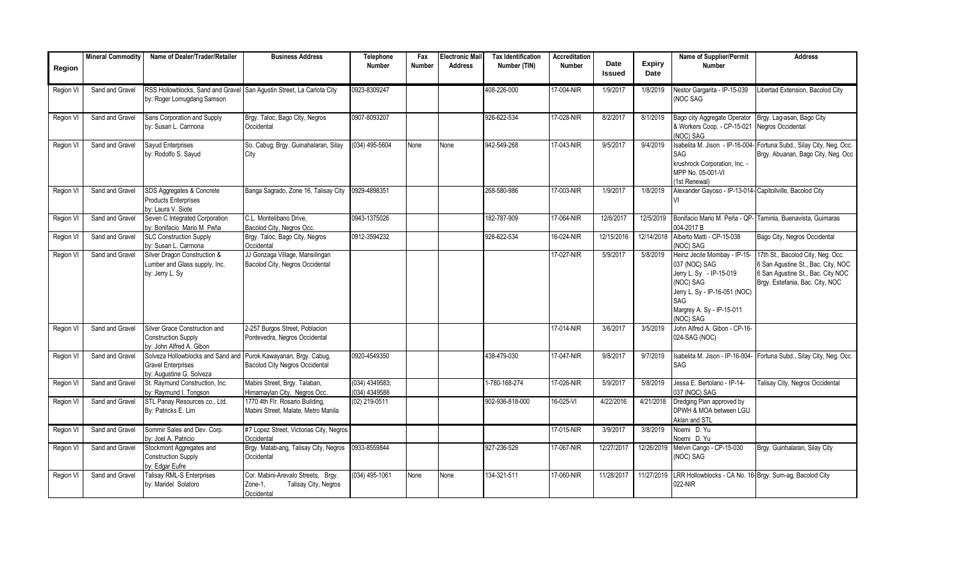|                  | <b>Mineral Commodity</b> | Name of Dealer/Trader/Retailer                                                                      | <b>Business Address</b>                                                             | Telephone                       | Fax    | <b>Electronic Mail</b> | <b>Tax Identification</b> | Accreditation |                       |                       | <b>Name of Supplier/Permit</b>                                                                                                                                          | <b>Address</b>                                                                                                                                  |
|------------------|--------------------------|-----------------------------------------------------------------------------------------------------|-------------------------------------------------------------------------------------|---------------------------------|--------|------------------------|---------------------------|---------------|-----------------------|-----------------------|-------------------------------------------------------------------------------------------------------------------------------------------------------------------------|-------------------------------------------------------------------------------------------------------------------------------------------------|
| Region           |                          |                                                                                                     |                                                                                     | Number                          | Number | <b>Address</b>         | Number (TIN)              | <b>Number</b> | Date<br><b>Issued</b> | <b>Expiry</b><br>Date | <b>Number</b>                                                                                                                                                           |                                                                                                                                                 |
| Region VI        | Sand and Gravel          | RSS Hollowblocks, Sand and Gravel San Agustin Street, La Carlota City<br>by: Roger Lomugdang Samson |                                                                                     | 0923-8309247                    |        |                        | 408-226-000               | 17-004-NIR    | 1/9/2017              | 1/8/2019              | Nestor Gargarita - IP-15-039<br><b>NOC SAG</b>                                                                                                                          | Libertad Extension, Bacolod City                                                                                                                |
| Region VI        | Sand and Gravel          | Sans Corporation and Supply<br>by: Susan L. Carmona                                                 | Brgy. Taloc, Bago City, Negros<br>Occidental                                        | 0907-8093207                    |        |                        | 926-622-534               | 17-028-NIR    | 8/2/2017              | 8/1/2019              | Bago city Aggregate Operator<br>& Workers Coop. - CP-15-021 Negros Occidental<br>(NOC) SAG                                                                              | Brgy. Lag-asan, Bago City                                                                                                                       |
| Region VI        | Sand and Gravel          | Sayud Enterprises<br>by: Rodolfo S. Sayud                                                           | So. Cabug, Brgy. Guinahalaran, Silay<br>City                                        | $(034)$ 495-5604                | None   | None                   | 942-549-268               | 17-043-NIR    | 9/5/2017              | 9/4/2019              | Isabelita M. Jison - IP-16-004-<br>SAG<br>krushrock Corporation, Inc. -<br>MPP No. 05-001-VI<br>1st Renewal)                                                            | Fortuna Subd., Silay City, Neg. Occ.<br>Brgy. Abuanan, Bago City, Neg. Occ                                                                      |
| Region VI        | Sand and Gravel          | SDS Aggregates & Concrete<br><b>Products Enterprises</b><br>by: Laura V. Siote                      | Banga Sagrado, Zone 16, Talisay City                                                | 0929-4898351                    |        |                        | 268-580-986               | 17-003-NIR    | 1/9/2017              | 1/8/2019              | Alexander Gayoso - IP-13-014- Capitollville, Bacolod City                                                                                                               |                                                                                                                                                 |
| Region VI        | Sand and Gravel          | Seven C Integrated Corporation<br>by: Bonifacio Mario M. Peña                                       | C.L. Montelibano Drive.<br>Bacolod City, Negros Occ.                                | 0943-1375026                    |        |                        | 182-787-909               | 17-064-NIR    | 12/6/2017             | 12/5/2019             | Bonifacio Mario M. Peña - QP-<br>004-2017 B                                                                                                                             | Taminla, Buenavista, Guimaras                                                                                                                   |
| Region VI        | Sand and Gravel          | <b>SLC Construction Supply</b><br>by: Susan L. Carmona                                              | Brgy. Taloc, Bago City, Negros<br>Occidental                                        | 0912-3594232                    |        |                        | 926-622-534               | 16-024-NIR    | 12/15/2016            | 12/14/2018            | Alberto Matti - CP-15-038<br>(NOC) SAG                                                                                                                                  | Bago City, Negros Occidental                                                                                                                    |
| Region VI        | Sand and Gravel          | Silver Dragon Construction &<br>Lumber and Glass supply, Inc.<br>by: Jerry L. Sy                    | JJ Gonzaga Village, Mansilingan<br>Bacolod City, Negros Occidental                  |                                 |        |                        |                           | 17-027-NIR    | 5/9/2017              | 5/8/2019              | Heinz Jecile Mombay - IP-15-<br>037 (NOC) SAG<br>Jerry L. Sy - IP-15-019<br>(NOC) SAG<br>Jerry L. Sy - IP-16-051 (NOC)<br>SAG<br>Margrey A. Sy - IP-15-011<br>(NOC) SAG | 17th St., Bacolod City, Neg. Occ.<br>6 San Agustine St., Bac. City, NOC<br>6 San Agustine St., Bac. City NOC<br>Brgy. Estefania, Bac. City, NOC |
| Region VI        | Sand and Gravel          | Silver Grace Construction and<br><b>Construction Supply</b><br>by: John Alfred A. Gibon             | 2-257 Burgos Street, Poblacion<br>Pontevedra, Negros Occidental                     |                                 |        |                        |                           | 17-014-NIR    | 3/6/2017              | 3/5/2019              | John Alfred A. Gibon - CP-16-<br>024-SAG (NOC)                                                                                                                          |                                                                                                                                                 |
| <b>Region VI</b> | Sand and Gravel          | Solveza Hollowblocks and Sand and<br><b>Gravel Enterprises</b><br>by: Augustine G. Solveza          | Purok Kawayanan, Brgy. Cabug,<br><b>Bacolod City Negros Occidental</b>              | 0920-4549350                    |        |                        | 438-479-030               | 17-047-NIR    | 9/8/2017              | 9/7/2019              | Isabelita M. Jison - IP-16-004-<br>SAG                                                                                                                                  | Fortuna Subd., Silay City, Neg. Occ.                                                                                                            |
| Region VI        | Sand and Gravel          | St. Raymund Construction, Inc.<br>by: Raymund I. Tongson                                            | Mabini Street, Brgy. Talaban,<br>Himamaylan City, Negros Occ.                       | (034) 4349583;<br>(034) 4349588 |        |                        | 1-780-168-274             | 17-026-NIR    | 5/9/2017              | 5/8/2019              | Jessa E. Bertolano - IP-14-<br>037 (NOC) SAG                                                                                                                            | Talisay City, Negros Occidental                                                                                                                 |
| Region VI        | Sand and Gravel          | STL Panay Resources co., Ltd.<br>By: Patricks E. Lim                                                | 1770 4th Flr. Rosario Building,<br>Mabini Street, Malate, Metro Manila              | (02) 219-0511                   |        |                        | 902-936-818-000           | 16-025-VI     | 4/22/2016             | 4/21/2018             | Dredging Plan approved by<br>DPWH & MOA between LGU<br>Aklan and STL                                                                                                    |                                                                                                                                                 |
| Region V         | Sand and Gravel          | Sommir Sales and Dev. Corp.<br>by: Joel A. Patricio                                                 | #7 Lopez Street, Victorias City, Negros<br>Occidental                               |                                 |        |                        |                           | 17-015-NIR    | 3/9/2017              | 3/8/2019              | Noemi D. Yu<br>Noemi D. Yu                                                                                                                                              |                                                                                                                                                 |
| Region V         | Sand and Gravel          | Stockmont Aggregates and<br><b>Construction Supply</b><br>by: Edgar Eufre                           | Brgy. Matab-ang, Talisay City, Negros<br>Occidental                                 | 0933-8559844                    |        |                        | 927-236-529               | 17-067-NIR    | 12/27/2017            | 12/26/2019            | Melvin Cango - CP-15-030<br>(NOC) SAG                                                                                                                                   | Brgy. Guinhalaran, Silay City                                                                                                                   |
| Region VI        | Sand and Gravel          | <b>Talisay RML-S Enterprises</b><br>by: Maridel Solatoro                                            | Cor. Mabini-Arevalo Streets, Brgy.<br>Talisay City, Negros<br>Zone-1,<br>Occidental | (034) 495-1061                  | None   | None                   | 134-321-511               | 17-060-NIR    | 11/28/2017            | 11/27/2019            | LRR Hollowblocks - CA No. 16-Brgy. Sum-ag, Bacolod City<br>022-NIR                                                                                                      |                                                                                                                                                 |